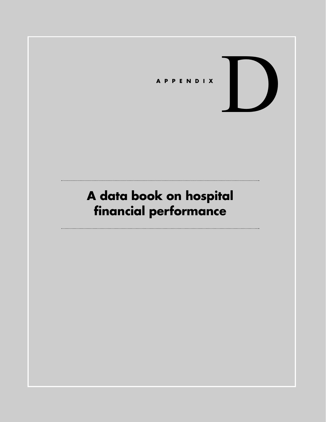

# **A data book on hospital financial performance**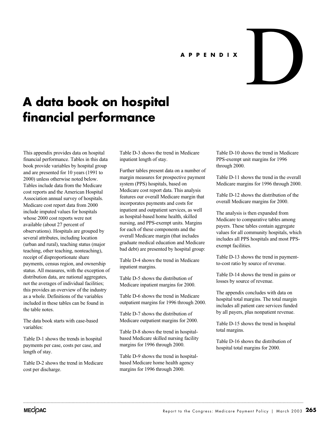#### **APPENDIX**

## **A data book on hospital financial performance**

This appendix provides data on hospital financial performance. Tables in this data book provide variables by hospital group and are presented for 10 years (1991 to 2000) unless otherwise noted below. Tables include data from the Medicare cost reports and the American Hospital Association annual survey of hospitals. Medicare cost report data from 2000 include imputed values for hospitals whose 2000 cost reports were not available (about 27 percent of observations). Hospitals are grouped by several attributes, including location (urban and rural), teaching status (major teaching, other teaching, nonteaching), receipt of disproportionate share payments, census region, and ownership status. All measures, with the exception of distribution data, are national aggregates, not the averages of individual facilities; this provides an overview of the industry as a whole. Definitions of the variables included in these tables can be found in the table notes.

The data book starts with case-based variables:

Table D-1 shows the trends in hospital payments per case, costs per case, and length of stay.

Table D-2 shows the trend in Medicare cost per discharge.

Table D-3 shows the trend in Medicare inpatient length of stay.

Further tables present data on a number of margin measures for prospective payment system (PPS) hospitals, based on Medicare cost report data. This analysis features our overall Medicare margin that incorporates payments and costs for inpatient and outpatient services, as well as hospital-based home health, skilled nursing, and PPS-exempt units. Margins for each of these components and the overall Medicare margin (that includes graduate medical education and Medicare bad debt) are presented by hospital group:

Table D-4 shows the trend in Medicare inpatient margins.

Table D-5 shows the distribution of Medicare inpatient margins for 2000.

Table D-6 shows the trend in Medicare outpatient margins for 1996 through 2000.

Table D-7 shows the distribution of Medicare outpatient margins for 2000.

Table D-8 shows the trend in hospitalbased Medicare skilled nursing facility margins for 1996 through 2000.

Table D-9 shows the trend in hospitalbased Medicare home health agency margins for 1996 through 2000.

Table D-10 shows the trend in Medicare PPS-exempt unit margins for 1996 through 2000.

D

Table D-11 shows the trend in the overall Medicare margins for 1996 through 2000.

Table D-12 shows the distribution of the overall Medicare margins for 2000.

The analysis is then expanded from Medicare to comparative tables among payers. These tables contain aggregate values for all community hospitals, which includes all PPS hospitals and most PPSexempt facilities.

Table D-13 shows the trend in paymentto-cost ratio by source of revenue.

Table D-14 shows the trend in gains or losses by source of revenue.

The appendix concludes with data on hospital total margins. The total margin includes all patient care services funded by all payers, plus nonpatient revenue.

Table D-15 shows the trend in hospital total margins.

Table D-16 shows the distribution of hospital total margins for 2000.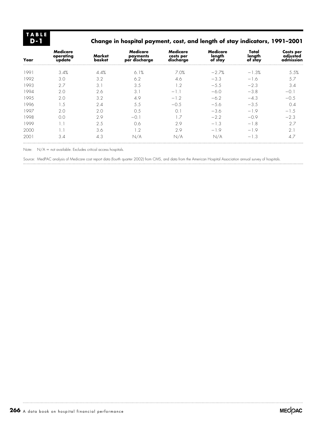## **Change in hospital payment, cost, and length of stay indicators, 1991–2001**

| Year | Medicare<br>operating<br>update | Market<br>basket | Medicare<br>payments<br>per discharge | Medicare<br>costs per<br>discharge | Medicare<br>length<br>of stay | Total<br>length<br>of stay | Costs per<br>adjusted<br>admission |
|------|---------------------------------|------------------|---------------------------------------|------------------------------------|-------------------------------|----------------------------|------------------------------------|
| 1991 | 3.4%                            | 4.4%             | 6.1%                                  | 7.0%                               | $-2.7%$                       | $-1.3%$                    | 5.5%                               |
| 1992 | 3.0                             | 3.2              | 6.2                                   | 4.6                                | $-3.3$                        | $-1.6$                     | 5.7                                |
| 1993 | 2.7                             | 3.1              | 3.5                                   | 1.2                                | $-5.5$                        | $-2.3$                     | 3.4                                |
| 1994 | 2.0                             | 2.6              | 3.1                                   | $-1.1$                             | $-6.0$                        | $-3.8$                     | $-0.1$                             |
| 1995 | 2.0                             | 3.2              | 4.9                                   | $-1.2$                             | $-6.2$                        | $-4.3$                     | $-0.5$                             |
| 1996 | 1.5                             | 2.4              | 5.5                                   | $-0.5$                             | $-5.6$                        | $-3.5$                     | 0.4                                |
| 1997 | 2.0                             | 2.0              | 0.5                                   | O.1                                | $-3.6$                        | $-1.9$                     | $-1.5$                             |
| 1998 | 0.0                             | 2.9              | $-0.1$                                | 1.7                                | $-2.2$                        | $-0.9$                     | $-2.3$                             |
| 1999 | 1.1                             | 2.5              | 0.6                                   | 2.9                                | $-1.3$                        | $-1.8$                     | 2.7                                |
| 2000 | 1.1                             | 3.6              | 1.2                                   | 2.9                                | $-1.9$                        | $-1.9$                     | 2.1                                |
| 2001 | 3.4                             | 4.3              | N/A                                   | N/A                                | N/A                           | $-1.3$                     | 4.7                                |

Note:  $N/A = not available.$  Excludes critical access hospitals.

Source: MedPAC analysis of Medicare cost report data (fourth quarter 2002) from CMS, and data from the American Hospital Association annual survey of hospitals.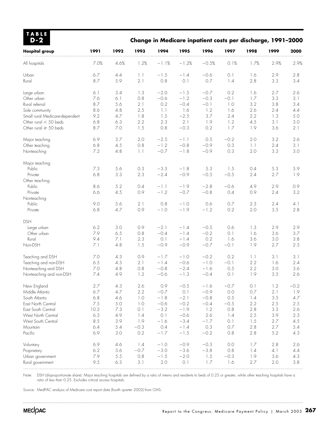| <b>TABLE</b><br>$D-2$          |            |            |            |                         |                  | Change in Medicare inpatient costs per discharge, 1991-2000 |               |            |            |            |
|--------------------------------|------------|------------|------------|-------------------------|------------------|-------------------------------------------------------------|---------------|------------|------------|------------|
| <b>Hospital group</b>          | 1991       | 1992       | 1993       | 1994                    | 1995             | 1996                                                        | 1997          | 1998       | 1999       | 2000       |
| All hospitals                  | 7.0%       | 4.6%       | 1.2%       | $-1.1%$                 | $-1.2%$          | $-0.5%$                                                     | 0.1%          | 1.7%       | 2.9%       | 2.9%       |
| Urban<br>Rural                 | 6.7<br>8.7 | 4.4<br>5.9 | 1.1<br>2.1 | $-1.5$<br>0.8           | $-1.4$<br>0.1    | $-0.6$<br>0.7                                               | 0.1<br>1.4    | 1.6<br>2.8 | 2.9<br>3.3 | 2.8<br>3.4 |
|                                |            |            |            |                         |                  |                                                             |               |            |            |            |
| Large urban<br>Other urban     | 6.1<br>7.6 | 3.4<br>6.1 | 1.3<br>0.8 | $-2.0$<br>$-0.6$        | $-1.5$<br>$-1.2$ | $-0.7$<br>$-0.3$                                            | 0.2<br>$-0.1$ | 1.6<br>1.7 | 2.7<br>3.3 | 2.6<br>3.1 |
| Rural referral                 | 8.7        | 5.6        | 2.1        | 0.2                     | $-0.4$           | $-0.1$                                                      | 1.0           | 3.2        | 3.8        | 3.4        |
| Sole community                 | 8.6        | 4.8        | 2.5        | 1.1                     | 1.6              | 1.2                                                         | 1.6           | 2.6        | 2.4        | 4.4        |
| Small rural Medicare-dependent | 9.2        | 4.7        | 1.8        | 1.5                     | $-2.5$           | 3.7                                                         | 2.4           | 2.2        | 1.3        | 5.0        |
| Other rural $<$ 50 beds        | 6.8        | 6.3        | 2.2        | 2.3                     | 2.1              | 1.9                                                         | 1.2           | 4.5        | 3.1        | 3.0        |
| Other rural $\geq$ 50 beds     | 8.7        | 7.0        | 1.5        | 0.8                     | $-0.3$           | 0.2                                                         | 1.7           | 1.9        | 3.6        | 2.1        |
| Major teaching                 | 6.9        | 3.7        | 2.0        | $-2.5$                  | $-1.1$           | 0.5                                                         | $-0.2$        | 2.0        | 3.2        | 2.6        |
| Other teaching                 | 6.8        | 4.5        | 0.8        | $-1.2$                  | $-0.8$           | $-0.9$                                                      | 0.3           | 1.1        | 2.4        | 3.1        |
| Nonteaching                    | 7.2        | 4.8        | 1.1        | $-0.7$                  | $-1.8$           | $-0.9$                                                      | 0.3           | 2.0        | 3.3        | 3.0        |
| Major teaching                 |            |            |            |                         |                  |                                                             |               |            |            |            |
| Public                         | 7.3        | 5.6        | 0.3        | $-3.5$                  | $-1.8$           | 5.3                                                         | 1.5           | 0.4        | 5.3        | 5.9        |
| Private                        | 6.8        | 3.3        | 2.3        | $-2.4$                  | $-0.9$           | $-0.5$                                                      | $-0.5$        | 2.4        | 2.7        | 1.9        |
| Other teaching                 |            |            |            |                         |                  |                                                             |               |            |            |            |
| Public                         | 8.6        | 5.2        | 0.4        | $-1.1$                  | $-1.9$           | $-2.8$                                                      | $-0.6$        | 4.9        | 2.9        | 0.9        |
| Private                        | 6.6        | 4.5        | 0.9        | $-1.2$                  | $-0.7$           | $-0.8$                                                      | 0.4           | 0.9        | 2.4        | 3.2        |
| Nonteaching                    |            |            |            |                         |                  |                                                             |               |            |            |            |
| Public                         | 9.0        | 5.6        | 2.1        | 0.8                     | $-1.0$           | 0.6                                                         | 0.7           | 2.3        | 2.4        | 4.1        |
| Private                        | 6.8        | 4.7        | 0.9        | $-1.0$                  | $-1.9$           | $-1.2$                                                      | 0.2           | 2.0        | 3.5        | 2.8        |
| <b>DSH</b>                     |            |            |            |                         |                  |                                                             |               |            |            |            |
| Large urban                    | 6.2        | 3.0        | 0.9        | $-2.1$                  | $-1.4$           | $-0.5$                                                      | 0.6           | 1.3        | 2.9        | 2.9        |
| Other urban                    | 7.9        | 6.5        | 0.8        | $-0.4$                  | $-1.4$           | $-0.2$                                                      | 0.1           | 1.6        | 3.6        | 3.7        |
| Rural                          | 9.4        | 7.1        | 2.3        | 0.1                     | $-1.4$           | 0.2                                                         | 1.6           | 3.6        | 3.0        | 3.8        |
| Non-DSH                        | 7.1        | 4.8        | 1.5        | $-0.9$                  | $-0.9$           | $-0.7$                                                      | $-0.1$        | 1.9        | 2.7        | 2.5        |
| Teaching and DSH               | 7.0        | 4.3        | 0.9        | $-1.7$                  | $-1.0$           | $-0.2$                                                      | 0.2           | 1.1        | 3.1        | 3.1        |
| Teaching and non-DSH           | 6.5        | 4.5        | 2.1        | $-1.4$                  | $-0.6$           | $-1.0$                                                      | $-0.1$        | 2.2        | 1.6        | 2.4        |
| Nonteaching and DSH            | 7.0        | 4.8        | 0.8        | $-0.8$                  | $-2.4$           | $-1.6$                                                      | 0.5           | 2.2        | 3.0        | 3.6        |
| Nonteaching and non-DSH        | 7.4        | 4.9        | 1.2        | $-0.6$                  | $-1.3$           | $-0.4$                                                      | 0.1           | 1.9        | 3.5        | 2.6        |
| New England                    | 2.7        | 4.3        | 2.6        | 0.9                     | $-0.5$           | $-1.6$                                                      | $-0.7$        | 0.1        | 1.2        | $-0.2$     |
| Middle Atlantic                | 6.7        | 4.7        | 2.2        | $-0.7$                  | 0.1              | $-0.9$                                                      | 0.0           | $0.7\,$    | 2.1        | 1.9        |
| South Atlantic                 | 6.8        | 4.6        | 1.0        | $-1.8$                  | $-2.1$           | $-0.8$                                                      | 0.5           | 1.4        | 3.5        | 4.7        |
| East North Central             | 7.5        | 5.0        | 1.0        | $-0.6$                  | $-0.2$           | $-0.4$                                                      | $-0.5$        | 2.2        | 2.5        | 2.5        |
| East South Central             | 10.2       | 7.3        | 0.1        | $-3.2$                  | $-1.9$           | 1.2                                                         | 0.8           | 2.8        | 3.3        | 2.6        |
| West North Central             | 6.3        | 4.9        | 1.4        | $\circlearrowright$ . 1 | $-0.6$           | 2.6                                                         | 1.4           | 2.5        | 3.9        | 2.3        |
| West South Central             | 8.5        | 3.9        | 1.9        | $-1.6$<br>0.4           | $-3.4$           | $-1.7$<br>0.3                                               | 0.1<br>0.7    | 1.5        | 2.7        | 4.5        |
| Mountain<br>Pacific            | 6.4<br>6.9 | 5.4        | $-0.3$     | $-1.7$                  | $-1.4$<br>$-1.5$ |                                                             |               | 2.8        | 2.7        | 5.4        |
|                                |            | 3.0        | 0.2        |                         |                  | $-0.2$                                                      | 0.8           | 2.8        | 5.2        | 4.3        |
| Voluntary                      | 6.9        | 4.6        | 1.4        | $-1.0$                  | $-0.9$           | $-0.3$                                                      | 0.0           | 1.7        | 2.8        | 2.6        |
| Proprietary                    | 6.2        | 3.6        | $-0.7$     | $-3.0$                  | $-3.6$           | $-3.8$                                                      | 0.8           | 1.4        | 4.1        | 4.4        |
| Urban government               | 7.9        | 5.5        | 0.8        | $-1.5$                  | $-2.0$           | 1.5                                                         | $-0.3$        | 1.9        | 3.6        | 4.3        |
| Rural government               | 9.5        | 6.3        | 3.1        | 2.0                     | 0.1              | 1.7                                                         | 1.6           | 2.7        | 2.0        | 3.8        |

Note: DSH (disproportionate share). Major teaching hospitals are defined by a ratio of interns and residents to beds of 0.25 or greater, while other teaching hospitals have a ratio of less than 0.25. Excludes critical access hospitals.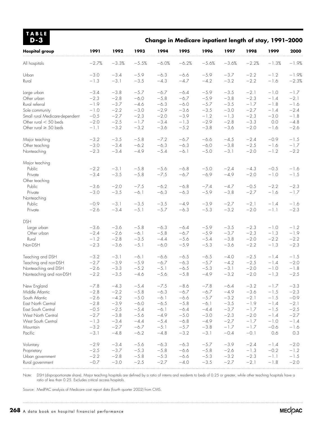| <b>TABLE</b><br>$D-3$          |                  |                  |         |                  |                  | Change in Medicare inpatient length of stay, 1991-2000 |                  |                  |                  |                  |
|--------------------------------|------------------|------------------|---------|------------------|------------------|--------------------------------------------------------|------------------|------------------|------------------|------------------|
| <b>Hospital group</b>          | 1991             | 1992             | 1993    | 1994             | 1995             | 1996                                                   | 1997             | 1998             | 1999             | 2000             |
| All hospitals                  | $-2.7%$          | $-3.3%$          | $-5.5%$ | $-6.0%$          | $-6.2%$          | $-5.6%$                                                | $-3.6%$          | $-2.2%$          | $-1.3%$          | $-1.9%$          |
| Urban                          | $-3.0$           | $-3.4$           | $-5.9$  | $-6.3$           | $-6.6$           | $-5.9$                                                 | $-3.7$           | $-2.2$           | $-1.2$           | $-1.9%$          |
| Rural                          | $-1.3$           | $-3.1$           | $-3.5$  | $-4.3$           | $-4.7$           | $-4.2$                                                 | $-3.2$           | $-2.2$           | $-1.6$           | $-2.3%$          |
| Large urban                    | $-3.4$           | $-3.8$           | $-5.7$  | $-6.7$           | $-6.4$           | $-5.9$                                                 | $-3.5$           | $-2.1$           | $-1.0$           | $-1.7$           |
| Other urban                    | $-2.3$           | $-2.8$           | $-6.0$  | $-5.8$           | $-6.7$           | $-5.9$                                                 | $-3.8$           | $-2.3$           | $-1.4$           | $-2.1$           |
| Rural referral                 | $-1.9$           | $-3.7$           | $-4.6$  | $-6.3$           | $-6.0$           | $-5.7$                                                 | $-3.5$           | $-1.7$           | $-1.8$           | $-1.6$           |
| Sole community                 | $-1.0$           | $-2.2$           | $-3.0$  | $-2.9$           | $-3.6$           | $-3.5$                                                 | $-3.0$           | $-2.7$           | $-1.4$           | $-2.4$           |
| Small rural Medicare-dependent | $-0.5$           | $-2.7$           | $-2.3$  | $-2.0$           | $-3.9$           | $-1.2$                                                 | $-1.3$           | $-2.3$           | $-3.0$           | $-1.8$           |
| Other rural $<$ 50 beds        | $-2.0$           | $-2.5$           | $-1.7$  | $-3.4$           | $-1.3$           | $-2.9$                                                 | $-2.8$           | $-3.3$           | $0.0$            | $-4.8$           |
| Other rural $\geq$ 50 beds     | $-1.1$           | $-3.2$           | $-3.2$  | $-3.6$           | $-5.2$           | $-3.8$                                                 | $-3.6$           | $-2.0$           | $-1.6$           | $-2.6$           |
| Major teaching                 | $-3.2$           | $-3.5$           | $-5.8$  | $-7.2$           | $-6.7$           | $-6.6$                                                 | $-4.5$           | $-2.4$           | $-0.9$           | $-1.5$           |
| Other teaching                 | $-3.0$           | $-3.4$           | $-6.2$  | $-6.3$           | $-6.3$           | $-6.0$                                                 | $-3.8$           | $-2.5$           | $-1.6$           | $-1.7$           |
| Nonteaching                    | $-2.3$           | $-3.4$           | $-4.9$  | $-5.4$           | $-6.1$           | $-5.0$                                                 | $-3.1$           | $-2.0$           | $-1.2$           | $-2.2$           |
| Major teaching                 |                  |                  |         |                  |                  |                                                        |                  |                  |                  |                  |
| Public                         | $-2.2$           | $-3.1$           | $-5.8$  | $-5.6$           | $-6.8$           | $-5.0$                                                 | $-2.4$           | $-4.3$           | $-0.5$           | $-1.6$           |
| Private                        | $-3.4$           | $-3.5$           | $-5.8$  | $-7.5$           | $-6.7$           | $-6.9$                                                 | $-4.9$           | $-2.0$           | $-1.0$           | $-1.5$           |
| Other teaching                 |                  |                  |         |                  |                  |                                                        |                  |                  |                  |                  |
| Public                         | $-3.6$           | $-2.0$           | $-7.5$  | $-6.2$           | $-6.8$           | $-7.4$                                                 | $-4.7$           | $-0.5$           | $-2.2$           | $-2.3$           |
| Private                        | $-3.0$           | $-3.5$           | $-6.1$  | $-6.3$           | $-6.3$           | $-5.9$                                                 | $-3.8$           | $-2.7$           | $-1.6$           | $-1.7$           |
| Nonteaching                    |                  |                  | $-3.5$  |                  |                  |                                                        |                  |                  |                  |                  |
| Public<br>Private              | $-0.9$<br>$-2.6$ | $-3.1$<br>$-3.4$ | $-5.1$  | $-3.5$<br>$-5.7$ | $-4.9$<br>$-6.3$ | $-3.9$<br>$-5.3$                                       | $-2.7$<br>$-3.2$ | $-2.1$<br>$-2.0$ | $-1.4$<br>$-1.1$ | $-1.6$<br>$-2.3$ |
| <b>DSH</b>                     |                  |                  |         |                  |                  |                                                        |                  |                  |                  |                  |
| Large urban                    | $-3.6$           | $-3.6$           | $-5.8$  | $-6.3$           | $-6.4$           | $-5.9$                                                 | $-3.5$           | $-2.3$           | $-1.0$           | $-1.2$           |
| Other urban                    | $-2.4$           | $-2.6$           | $-6.1$  | $-5.8$           | $-6.7$           | $-5.9$                                                 | $-3.7$           | $-2.3$           | $-1.3$           | $-1.9$           |
| Rural                          | $-1.2$           | $-2.8$           | $-3.5$  | $-4.4$           | $-5.6$           | $-5.4$                                                 | $-3.8$           | $-2.0$           | $-2.2$           | $-2.2$           |
| Non-DSH                        | $-2.3$           | $-3.6$           | $-5.1$  | $-6.0$           | $-5.9$           | $-5.3$                                                 | $-3.6$           | $-2.2$           | $-1.3$           | $-2.3$           |
| Teaching and DSH               | $-3.2$           | $-3.1$           | $-6.1$  | $-6.6$           | $-6.5$           | $-6.5$                                                 | $-4.0$           | $-2.5$           | $-1.4$           | $-1.5$           |
| Teaching and non-DSH           | $-2.7$           | $-3.9$           | $-5.9$  | $-6.7$           | $-6.3$           | $-5.7$                                                 | $-4.2$           | $-2.5$           | $-1.4$           | $-2.0$           |
| Nonteaching and DSH            | $-2.6$           | $-3.3$           | $-5.2$  | $-5.1$           | $-6.5$           | $-5.3$                                                 | $-3.1$           | $-2.0$           | $-1.0$           | $-1.8$           |
| Nonteaching and non-DSH        | $-2.2$           | $-3.5$           | $-4.6$  | $-5.6$           | $-5.8$           | $-4.9$                                                 | $-3.2$           | $-2.0$           | $-1.3$           | $-2.5$           |
| New England                    | $-7.8$           | $-4.3$           | $-5.4$  | $-7.5$           | $-8.6$           | $-7.8$                                                 | $-6.4$           | $-3.2$           | $-1.7$           | $-3.3$           |
| Middle Atlantic                | $-2.8$           | $-2.2$           | $-5.8$  | $-6.3$           | $-6.7$           | $-6.7$                                                 | $-4.9$           | $-3.6$           | $-1.5$           | $-2.3$           |
| South Atlantic                 | $-2.6$           | $-4.2$           | $-5.0$  | $-6.1$           | $-6.6$           | $-5.7$                                                 | $-3.2$           | $-2.1$           | $-1.5$           | $-0.9$           |
| East North Central             | $-2.8$           | $-3.9$           | $-6.0$  | $-6.5$           | $-5.8$           | $-6.1$                                                 | $-3.5$           | $-1.9$           | $-1.4$           | $-2.1$           |
| East South Central             | $-0.5$           | $-2.5$           | $-5.4$  | $-6.1$           | $-6.4$           | $-4.4$                                                 | $-3.7$           | $-1.7$           | $-1.5$           | $-2.5$           |
| West North Central             | $-2.7$           | $-3.8$           | $-5.6$  | $-4.9$           | $-5.0$           | $-3.0$                                                 | $-2.3$           | $-2.0$           | $-1.4$           | $-2.7$           |
| West South Central             | $-1.3$           | $-3.4$           | $-4.4$  | $-5.4$           | $-6.8$           | $-4.9$                                                 | $-2.7$           | $-1.7$           | $-1.0$           | $-1.4$           |
| Mountain                       | $-3.2$           | $-2.7$           | $-6.7$  | $-5.1$           | $-5.7$           | $-3.8$                                                 | $-1.7$           | $-1.7$           | $-0.6$           | $-1.6$           |
| Pacific                        | $-3.1$           | $-4.8$           | $-6.2$  | $-4.8$           | $-3.2$           | $-3.1$                                                 | $-0.4$           | $-0.1$           | 0.6              | 0.3              |
| Voluntary                      | $-2.9$           | $-3.4$           | $-5.6$  | $-6.3$           | $-6.3$           | $-5.7$                                                 | $-3.9$           | $-2.4$           | $-1.4$           | $-2.0$           |
| Proprietary                    | $-2.5$           | $-3.7$           | $-5.3$  | $-5.8$           | $-6.6$           | $-5.8$                                                 | $-2.6$           | $-1.3$           | $-0.2$           | $-1.2$           |
| Urban government               | $-2.2$           | $-2.8$           | $-5.8$  | $-5.3$           | $-6.6$           | $-5.3$                                                 | $-3.2$           | $-2.3$           | $-1.1$           | $-1.5$           |
| Rural government               | $-0.7$           | $-3.0$           | $-2.5$  | $-2.7$           | $-4.0$           | $-3.5$                                                 | $-2.7$           | $-2.1$           | $-1.8$           | $-2.0$           |
|                                |                  |                  |         |                  |                  |                                                        |                  |                  |                  |                  |

Note: DSH (disproportionate share). Major teaching hospitals are defined by a ratio of interns and residents to beds of 0.25 or greater, while other teaching hospitals have a ratio of less than 0.25. Excludes critical access hospitals.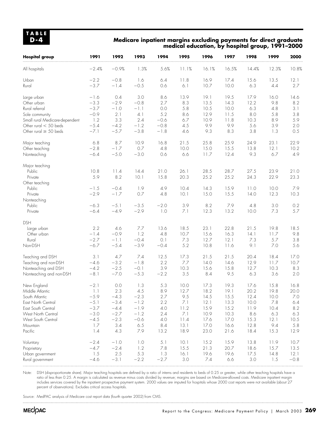### **Medicare inpatient margins excluding payments for direct graduate medical education, by hospital group, 1991–2000**

| <b>Hospital group</b>                                        | 1991                              | 1992                                | 1993                           | 1994                         | 1995                       | 1996                         | 1997                         | 1998                       | 1999                           | 2000                      |
|--------------------------------------------------------------|-----------------------------------|-------------------------------------|--------------------------------|------------------------------|----------------------------|------------------------------|------------------------------|----------------------------|--------------------------------|---------------------------|
| All hospitals                                                | $-2.4%$                           | $-0.9%$                             | 1.3%                           | 5.6%                         | 11.1%                      | 16.1%                        | 16.5%                        | 14.4%                      | 12.3%                          | 10.8%                     |
| Urban                                                        | $-2.2$                            | $-0.8$                              | 1.6                            | 6.4                          | 11.8                       | 16.9                         | 17.4                         | 15.6                       | 13.5                           | 12.1                      |
| Rural                                                        | $-3.7$                            | $-1.4$                              | $-0.5$                         | 0.6                          | 6.1                        | 10.7                         | 10.0                         | 6.3                        | 4.4                            | 2.7                       |
| Large urban                                                  | $-1.6$                            | 0.4                                 | 3.0                            | 8.6                          | 13.9                       | 19.1                         | 19.5                         | 17.9                       | 16.0                           | 14.6                      |
| Other urban                                                  | $-3.3$                            | $-2.9$                              | $-0.8$                         | 2.7                          | 8.3                        | 13.5                         | 14.3                         | 12.2                       | 9.8                            | 8.2                       |
| Rural referral                                               | $-3.7$                            | $-1.0$                              | $-1.1$                         | $0.0\,$                      | 5.8                        | 10.5                         | 10.0                         | 6.3                        | 4.8                            | 3.1                       |
| Sole community                                               | $-0.9$                            | 2.1                                 | 4.1                            | 5.2                          | 8.6                        | 12.9                         | 11.5                         | 8.0                        | 5.8                            | 3.8                       |
| Small rural Medicare-dependent                               | 1.2                               | 3.3                                 | 2.4                            | $-0.6$                       | 6.7                        | 10.9                         | 11.8                         | 10.3                       | 8.9                            | 5.9                       |
| Other rural $<$ 50 beds                                      | $-5.4$                            | $-4.2$                              | $-1.2$                         | $-0.8$                       | 4.5                        | 9.9                          | 9.9                          | 5.6                        | 3.9                            | 2.0                       |
| Other rural $\geq 50$ beds                                   | $-7.1$                            | $-5.7$                              | $-3.8$                         | $-1.8$                       | 4.6                        | 9.3                          | 8.3                          | 3.8                        | 1.3                            | 0.5                       |
| Major teaching                                               | 6.8                               | $8.7\,$                             | 10.9                           | 16.8                         | 21.5                       | 25.8                         | 25.9                         | 24.9                       | 23.1                           | 22.9                      |
| Other teaching                                               | $-2.8$                            | $-1.7$                              | 0.7                            | 4.8                          | 10.0                       | 15.0                         | 15.5                         | 13.8                       | 12.1                           | 10.2                      |
| Nonteaching                                                  | $-6.4$                            | $-5.0$                              | $-3.0$                         | 0.6                          | 6.6                        | 11.7                         | 12.4                         | 9.3                        | 6.7                            | 4.9                       |
| Major teaching<br>Public<br>Private<br>Other teaching        | 10.8<br>5.9                       | 11.4<br>8.2                         | 14.4<br>10.1                   | 21.0<br>15.8                 | 26.1<br>20.3               | 28.5<br>25.2                 | 28.7<br>25.2                 | 27.5<br>24.3               | 23.9<br>22.9                   | 21.0<br>23.3              |
| Public                                                       | $-1.5$                            | $-0.4$                              | 1.9                            | 4.9                          | 10.4                       | 14.3                         | 15.9                         | 11.0                       | 10.0                           | 7.9                       |
| Private                                                      | $-2.9$                            | $-1.7$                              | 0.7                            | 4.8                          | 10.1                       | 15.0                         | 15.5                         | 14.0                       | 12.3                           | 10.3                      |
| Nonteaching<br>Public<br>Private                             | $-6.3$<br>$-6.4$                  | $-5.1$<br>$-4.9$                    | $-3.5$<br>$-2.9$               | $-2.0$<br>1.0                | 3.9<br>7.1                 | 8.2<br>12.3                  | 7.9<br>13.2                  | 4.8<br>10.0                | 3.0<br>7.3                     | 0.2<br>5.7                |
| <b>DSH</b><br>Large urban<br>Other urban<br>Rural<br>Non-DSH | 2.2<br>$-1.4$<br>$-2.7$<br>$-6.7$ | 4.6<br>$-0.9$<br>$-1.1\,$<br>$-5.4$ | 7.7<br>1.2<br>$-0.4$<br>$-3.9$ | 13.6<br>4.8<br>0.1<br>$-0.4$ | 18.5<br>10.7<br>7.3<br>5.2 | 23.1<br>15.6<br>12.7<br>10.8 | 22.8<br>16.3<br>12.1<br>11.6 | 21.5<br>14.1<br>7.3<br>9.1 | 19.8<br>11.7<br>5.7<br>$7.0\,$ | 18.5<br>9.8<br>3.8<br>5.6 |
| Teaching and DSH                                             | 3.1                               | 4.7                                 | 7.4                            | 12.5                         | 17.3                       | 21.5                         | 21.5                         | 20.4                       | 18.4                           | 17.0                      |
| Teaching and non-DSH                                         | $-4.6$                            | $-3.2$                              | $-1.8$                         | 2.2                          | 7.7                        | 14.0                         | 14.6                         | 12.9                       | 11.7                           | 10.7                      |
| Nonteaching and DSH                                          | $-4.2$                            | $-2.5$                              | $-0.1$                         | 3.9                          | 10.3                       | 15.6                         | 15.8                         | 12.7                       | 10.3                           | 8.3                       |
| Nonteaching and non-DSH                                      | $-8.1$                            | $-7.0$                              | $-5.3$                         | $-2.2$                       | $3.5\,$                    | 8.4                          | 9.5                          | 6.3                        | 3.6                            | 2.0                       |
| New England                                                  | $-2.1$                            | 0.0                                 | 1.3                            | 5.3                          | 10.0                       | 17.3                         | 19.3                         | 17.6                       | 15.8                           | 16.8                      |
| Middle Atlantic                                              | 1.1                               | 2.3                                 | 4.5                            | 8.9                          | 12.7                       | 18.2                         | 19.1                         | 20.2                       | 19.8                           | 20.0                      |
| South Atlantic                                               | $-5.9$                            | $-4.3$                              | $-2.3$                         | 2.7                          | 9.5                        | 14.5                         | 15.5                         | 12.4                       | 10.0                           | 7.0                       |
| East North Central                                           | $-5.1$                            | $-3.4$                              | $-1.2$                         | 2.2                          | 7.1                        | 12.1                         | 13.3                         | 10.0                       | 7.8                            | 6.4                       |
| East South Central                                           | $-3.7$                            | $-4.4$                              | $-1.9$                         | 4.0                          | 11.2                       | 15.9                         | 15.2                         | 11.9                       | 10.4                           | 8.2                       |
| West North Central                                           | $-3.0$                            | $-2.7$                              | $-1.2$                         | 2.4                          | 7.1                        | 10.9                         | 10.3                         | 8.6                        | 6.3                            | 6.3                       |
| West South Central                                           | $-4.5$                            | $-2.3$                              | $-0.6$                         | 4.0                          | 11.4                       | 17.6                         | 17.0                         | 15.3                       | 12.1                           | 10.5                      |
| Mountain                                                     | 1.7                               | 3.4                                 | 6.5                            | 8.4                          | 13.1                       | 17.0                         | 16.6                         | 12.8                       | 9.4                            | 5.8                       |
| Pacific                                                      | 1.4                               | 4.3                                 | 7.9                            | 13.2                         | 18.9                       | 23.0                         | 21.6                         | 18.4                       | 15.3                           | 12.9                      |
| Voluntary                                                    | $-2.4$                            | $-1.0$                              | 1.0                            | 5.1                          | 10.1                       | 15.2                         | 15.9                         | 13.8                       | 11.9                           | 10.7                      |
| Proprietary                                                  | $-4.7$                            | $-2.4$                              | 1.2                            | 7.8                          | 15.5                       | 21.3                         | 20.7                         | 18.6                       | 15.7                           | 13.5                      |
| Urban government                                             | 1.5                               | 2.5                                 | 5.3                            | 1.3                          | 16.1                       | 19.6                         | 19.6                         | 17.5                       | 14.8                           | 12.1                      |
| Rural government                                             | $-4.6$                            | $-3.1$                              | $-2.2$                         | $-2.7$                       | 3.0                        | 7.4                          | 6.6                          | 3.0                        | 1.5                            | $-0.8$                    |

Note: DSH (disproportionate share). Major teaching hospitals are defined by a ratio of interns and residents to beds of 0.25 or greater, while other teaching hospitals have a ratio of less than 0.25. A margin is calculated as revenue minus costs divided by revenue; margins are based on Medicare-allowed costs. Medicare inpatient margin includes services covered by the inpatient prospective payment system. 2000 values are imputed for hospitals whose 2000 cost reports were not available (about 27 percent of observations). Excludes critical access hospitals.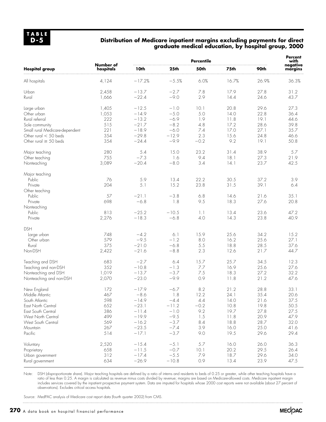#### **Distribution of Medicare inpatient margins excluding payments for direct graduate medical education, by hospital group, 2000**

|                                |                        | <b>Percentile</b> |         |        |       |       |                     |
|--------------------------------|------------------------|-------------------|---------|--------|-------|-------|---------------------|
| <b>Hospital group</b>          | Number of<br>hospitals | 10th              | 25th    | 50th   | 75th  | 90th  | negative<br>margins |
| All hospitals                  | 4,124                  | $-17.2%$          | $-5.5%$ | 6.0%   | 16.7% | 26.9% | 36.3%               |
| Urban                          | 2,458                  | $-13.7$           | $-2.7$  | 7.8    | 17.9  | 27.8  | 31.2                |
| Rural                          | 1,666                  | $-22.4$           | $-9.0$  | 2.9    | 14.4  | 24.6  | 43.7                |
| Large urban                    | 1,405                  | $-12.5$           | $-1.0$  | 10.1   | 20.8  | 29.6  | 27.3                |
| Other urban                    | 1,053                  | $-14.9$           | $-5.0$  | 5.0    | 14.0  | 22.8  | 36.4                |
| Rural referral                 | 222                    | $-13.2$           | $-6.9$  | 1.9    | 11.8  | 19.1  | 44.6                |
| Sole community                 | 515                    | $-21.7$           | $-8.2$  | 4.8    | 17.2  | 28.6  | 39.8                |
| Small rural Medicare-dependent | 221                    | $-18.9$           | $-6.0$  | 7.4    | 17.0  | 27.1  | 35.7                |
| Other rural $<$ 50 beds        | 354                    | $-29.8$           | $-12.9$ | 2.3    | 15.6  | 24.8  | 46.6                |
| Other rural $\geq$ 50 beds     | 354                    | $-24.4$           | $-9.9$  | $-0.2$ | 9.2   | 19.1  | 50.8                |
| Major teaching                 | 280                    | 5.4               | 15.0    | 23.2   | 31.4  | 38.9  | 5.7                 |
| Other teaching                 | 755                    | $-7.3$            | 1.6     | 9.4    | 18.1  | 27.3  | 21.9                |
| Nonteaching                    | 3,089                  | $-20.4$           | $-8.0$  | 3.4    | 14.1  | 23.7  | 42.5                |
| Major teaching                 |                        |                   |         |        |       |       |                     |
| Public                         | 76                     | 5.9               | 13.4    | 22.2   | 30.5  | 37.2  | 3.9                 |
| Private                        | 204                    | 5.1               | 15.2    | 23.8   | 31.5  | 39.1  | 6.4                 |
| Other teaching                 |                        |                   |         |        |       |       |                     |
| Public                         | 57                     | $-21.1$           | $-3.8$  | 6.8    | 14.6  | 21.6  | 35.1                |
| Private                        | 698                    | $-6.8$            | 1.8     | 9.5    | 18.3  | 27.6  | 20.8                |
| Nonteaching                    |                        |                   |         |        |       |       |                     |
| Public                         | 813                    | $-25.2$           | $-10.5$ | 1.1    | 13.4  | 23.6  | 47.2                |
| Private                        | 2,276                  | $-18.3$           | $-6.8$  | 4.0    | 14.3  | 23.8  | 40.9                |
| <b>DSH</b>                     |                        |                   |         |        |       |       |                     |
| Large urban                    | 748                    | $-4.2$            | 6.1     | 15.9   | 25.6  | 34.2  | 15.2                |
| Other urban                    | 579                    | $-9.5$            | $-1.2$  | 8.0    | 16.2  | 25.6  | 27.1                |
| Rural                          | 375                    | $-21.0$           | $-6.8$  | 5.5    | 18.8  | 28.5  | 37.6                |
| Non-DSH                        | 2,422                  | $-21.6$           | $-8.8$  | 2.3    | 12.6  | 21.7  | 44.7                |
| Teaching and DSH               | 683                    | $-2.7$            | 6.4     | 15.7   | 25.7  | 34.5  | 12.3                |
| Teaching and non-DSH           | 352                    | $-10.8$           | $-1.3$  | 7.7    | 16.9  | 25.6  | 27.6                |
| Nonteaching and DSH            | 1,019                  | $-13.7$           | $-3.7$  | 7.5    | 18.3  | 27.2  | 32.2                |
| Nonteaching and non-DSH        | 2,070                  | $-23.0$           | $-9.9$  | 0.9    | 11.8  | 21.2  | 47.6                |
| New England                    | 172                    | $-17.9$           | $-6.7$  | 8.2    | 21.2  | 28.8  | 33.1                |
| Middle Atlantic                | 467                    | $-8.6$            | 1.8     | 12.2   | 24.1  | 35.4  | 20.6                |
| South Atlantic                 | 598                    | $-14.9$           | $-4.4$  | 4.4    | 14.0  | 21.6  | 37.5                |
| East North Central             | 652                    | $-23.1$           | $-11.2$ | $-0.2$ | 10.8  | 19.8  | 50.5                |
| East South Central             | 386                    | $-11.4$           | $-1.0$  | 9.2    | 19.7  | 27.8  | 27.5                |
| West North Central             | 499                    | $-19.9$           | $-9.5$  | 1.5    | 11.8  | 20.9  | 47.9                |
| West South Central             | 569                    | $-16.2$           | $-3.7$  | 8.4    | 18.8  | 28.7  | 32.0                |
| Mountain                       | 267                    | $-23.5$           | $-7.4$  | 3.9    | 16.0  | 25.0  | 41.6                |
| Pacific                        | 514                    | $-17.1$           | $-3.7$  | 9.0    | 19.5  | 29.6  | 29.4                |
| Voluntary                      | 2,520                  | $-15.4$           | $-5.1$  | 5.7    | 16.0  | 26.0  | 36.3                |
| Proprietary                    | 658                    | $-11.5$           | $-0.7$  | 10.1   | 20.2  | 29.5  | 26.4                |
| Urban government               | 312                    | $-17.4$           | $-5.5$  | 7.9    | 18.7  | 29.6  | 34.0                |
| Rural government               | 634                    | $-26.9$           | $-10.8$ | 0.9    | 13.4  | 23.9  | 47.5                |
|                                |                        |                   |         |        |       |       |                     |

Note: DSH (disproportionate share). Major teaching hospitals are defined by a ratio of interns and residents to beds of 0.25 or greater, while other teaching hospitals have a ratio of less than 0.25. A margin is calculated as revenue minus costs divided by revenue; margins are based on Medicare-allowed costs. Medicare inpatient margin includes services covered by the inpatient prospective payment system. Data are imputed for hospitals whose 2000 cost reports were not available (about 27 percent of observations). Excludes critical access hospitals.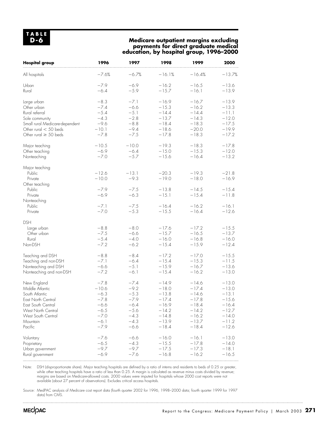#### **Medicare outpatient margins excluding payments for direct graduate medical education, by hospital group, 1996–2000**

| <b>Hospital group</b>                                        | 1996                                 | 1997                                 | 1998                                     | 1999                                     | 2000                                     |
|--------------------------------------------------------------|--------------------------------------|--------------------------------------|------------------------------------------|------------------------------------------|------------------------------------------|
| All hospitals                                                | $-7.6%$                              | $-6.7%$                              | $-16.1%$                                 | $-16.4%$                                 | $-13.7%$                                 |
| Urban                                                        | $-7.9$                               | $-6.9$                               | $-16.2$                                  | $-16.5$                                  | $-13.6$                                  |
| Rural                                                        | $-6.4$                               | $-5.9$                               | $-15.7$                                  | $-16.1$                                  | $-13.9$                                  |
| Large urban                                                  | $-8.3$                               | $-7.1$                               | $-16.9$                                  | $-16.7$                                  | $-13.9$                                  |
| Other urban                                                  | $-7.4$                               | $-6.6$                               | $-15.3$                                  | $-16.2$                                  | $-13.3$                                  |
| Rural referral                                               | $-5.4$                               | $-5.1$                               | $-14.4$                                  | $-14.4$                                  | $-11.1$                                  |
| Sole community                                               | $-4.3$                               | $-2.8$                               | $-13.7$                                  | $-14.3$                                  | $-12.0$                                  |
| Small rural Medicare-dependent                               | $-9.6$                               | $-8.8$                               | $-18.4$                                  | $-18.3$                                  | $-17.5$                                  |
| Other rural $<$ 50 beds                                      | $-10.1$                              | $-9.4$                               | $-18.6$                                  | $-20.0$                                  | $-19.9$                                  |
| Other rural $\geq$ 50 beds                                   | $-7.8$                               | $-7.5$                               | $-17.8$                                  | $-18.3$                                  | $-17.2$                                  |
| Major teaching                                               | $-10.5$                              | $-10.0$                              | $-19.3$                                  | $-18.3$                                  | $-17.8$                                  |
| Other teaching                                               | $-6.9$                               | $-6.4$                               | $-15.0$                                  | $-15.3$                                  | $-12.0$                                  |
| Nonteaching                                                  | $-7.0$                               | $-5.7$                               | $-15.6$                                  | $-16.4$                                  | $-13.2$                                  |
| Major teaching<br>Public<br>Private<br>Other teaching        | $-12.6$<br>$-10.0$                   | $-13.1$<br>$-9.3$                    | $-20.3$<br>$-19.0$                       | $-19.3$<br>$-18.0$                       | $-21.8$<br>$-16.9$                       |
| Public                                                       | $-7.9$                               | $-7.5$                               | $-13.8$                                  | $-14.5$                                  | $-15.4$                                  |
| Private                                                      | $-6.9$                               | $-6.3$                               | $-15.1$                                  | $-15.4$                                  | $-11.8$                                  |
| Nonteaching<br>Public<br>Private                             | $-7.1$<br>$-7.0$                     | $-7.5$<br>$-5.3$                     | $-16.4$<br>$-15.5$                       | $-16.2$<br>$-16.4$                       | $-16.1$<br>$-12.6$                       |
| <b>DSH</b><br>Large urban<br>Other urban<br>Rural<br>Non-DSH | $-8.8$<br>$-7.5$<br>$-5.4$<br>$-7.2$ | $-8.0$<br>$-6.6$<br>$-4.0$<br>$-6.2$ | $-17.6$<br>$-15.7$<br>$-16.0$<br>$-15.4$ | $-17.2$<br>$-16.5$<br>$-16.8$<br>$-15.9$ | $-15.5$<br>$-13.7$<br>$-16.0$<br>$-12.4$ |
| Teaching and DSH                                             | $-8.8$                               | $-8.4$                               | $-17.2$                                  | $-17.0$                                  | $-15.5$                                  |
| Teaching and non-DSH                                         | $-7.1$                               | $-6.4$                               | $-15.4$                                  | $-15.3$                                  | $-11.5$                                  |
| Nonteaching and DSH                                          | $-6.6$                               | $-5.1$                               | $-15.9$                                  | $-16.7$                                  | $-13.6$                                  |
| Nonteaching and non-DSH                                      | $-7.2$                               | $-6.1$                               | $-15.4$                                  | $-16.2$                                  | $-13.0$                                  |
| New England                                                  | $-7.8$                               | $-7.4$                               | $-14.9$                                  | $-14.6$                                  | $-13.0$                                  |
| Middle Atlantic                                              | $-10.6$                              | $-9.2$                               | $-18.0$                                  | $-17.4$                                  | $-13.0$                                  |
| South Atlantic                                               | $-6.3$                               | $-5.3$                               | $-13.8$                                  | $-14.6$                                  | $-13.1$                                  |
| East North Central                                           | $-7.8$                               | $-7.9$                               | $-17.4$                                  | $-17.8$                                  | $-15.6$                                  |
| East South Central                                           | -6.6                                 | $-6.4$                               | $-16.9$                                  | $-18.4$                                  | -16.4                                    |
| West North Central                                           | $-6.5$                               | $-5.6$                               | $-14.2$                                  | $-14.2$                                  | $-12.7$                                  |
| West South Central                                           | $-7.0$                               | $-4.3$                               | $-14.8$                                  | $-16.2$                                  | $-14.0$                                  |
| Mountain                                                     | $-6.1$                               | $-4.3$                               | $-13.9$                                  | $-13.7$                                  | $-11.2$                                  |
| Pacific                                                      | $-7.9$                               | $-6.6$                               | $-18.4$                                  | $-18.4$                                  | $-12.6$                                  |
| Voluntary                                                    | $-7.6$                               | $-6.6$                               | $-16.0$                                  | $-16.1$                                  | $-13.0$                                  |
| Proprietary                                                  | $-6.5$                               | $-4.3$                               | $-15.5$                                  | $-17.8$                                  | $-14.0$                                  |
| Urban government                                             | $-9.7$                               | $-9.7$                               | $-17.5$                                  | $-17.3$                                  | $-18.1$                                  |
| Rural government                                             | $-6.9$                               | $-7.6$                               | $-16.8$                                  | $-16.2$                                  | $-16.5$                                  |

Note: DSH (disproportionate share). Major teaching hospitals are defined by a ratio of interns and residents to beds of 0.25 or greater, while other teaching hospitals have a ratio of less than 0.25. A margin is calculated as revenue minus costs divided by revenue; margins are based on Medicare-allowed costs. 2000 values were imputed for hospitals whose 2000 cost reports were not available (about 27 percent of observations). Excludes critical access hospitals.

Source: MedPAC analysis of Medicare cost report data (fourth quarter 2002 for 1996, 1998–2000 data; fourth quarter 1999 for 1997 data) from CMS.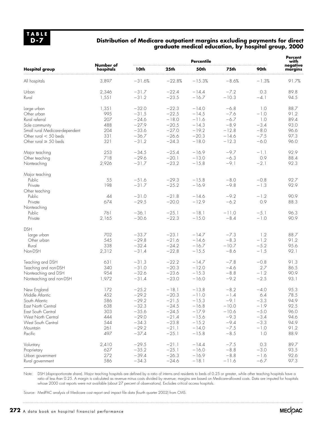#### **Distribution of Medicare outpatient margins excluding payments for direct graduate medical education, by hospital group, 2000**

|                                |                        |          | <b>Percent</b><br>with |          |         |                  |                     |
|--------------------------------|------------------------|----------|------------------------|----------|---------|------------------|---------------------|
| <b>Hospital group</b>          | Number of<br>hospitals | 10th     | 25th                   | 50th     | 75th    | 90th             | negative<br>margins |
| All hospitals                  | 3,897                  | $-31.6%$ | $-22.8%$               | $-15.3%$ | $-8.6%$ | $-1.3%$          | 91.7%               |
| Urban                          | 2,346                  | $-31.7$  | $-22.4$                | $-14.4$  | $-7.2$  | 0.3              | 89.8                |
| Rural                          | 1,551                  | $-31.2$  | $-23.5$                | $-16.7$  | $-10.3$ | $-4.1$           | 94.5                |
| Large urban                    | 1,351                  | $-32.0$  | $-22.3$                | $-14.0$  | $-6.8$  | 1.0              | 88.7                |
| Other urban                    | 995                    | $-31.5$  | $-22.5$                | $-14.5$  | $-7.6$  | $-1.0$           | 91.2                |
| Rural referral                 | 207                    | $-24.6$  | $-18.0$                | $-11.6$  | $-6.7$  | 1.0              | 89.4                |
| Sole community                 | 488                    | $-27.9$  | $-20.5$                | $-14.3$  | $-8.9$  | $-3.4$           | 93.0                |
| Small rural Medicare-dependent | 204                    | $-33.6$  | $-27.0$                | $-19.2$  | $-12.8$ | $-8.0$           | 96.6                |
| Other rural $<$ 50 beds        | 331                    | $-36.7$  | $-26.6$                | $-20.3$  | $-14.6$ | $-7.5$           | 97.3                |
| Other rural $\geq$ 50 beds     | 321                    | $-31.2$  | $-24.3$                | $-18.0$  | $-12.3$ | $-6.0$           | 96.0                |
| Major teaching                 | 253                    | $-34.5$  | $-25.4$                | $-16.9$  | $-9.7$  | $-1.1$           | 92.9                |
| Other teaching                 | 718                    | $-29.6$  | $-20.1$                | $-13.0$  | $-6.3$  | 0.9              | 88.4                |
| Nonteaching                    | 2,926                  | $-31.7$  | $-23.2$                | $-15.8$  | $-9.1$  | $-2.1$           | 92.3                |
| Major teaching                 |                        |          |                        |          |         |                  |                     |
| Public                         | 55                     | $-51.6$  | $-29.3$                | $-15.8$  | $-8.0$  | $-0.8$           | 92.7                |
| Private                        | 198                    | $-31.7$  | $-25.2$                | $-16.9$  | $-9.8$  | $-1.3$           | 92.9                |
| Other teaching                 |                        |          |                        |          |         |                  |                     |
| Public                         | 44                     | $-31.0$  | $-21.8$                | $-14.6$  | $-9.2$  | $-1.2$           | 90.9                |
| Private                        | 674                    | $-29.5$  | $-20.0$                | $-12.9$  | $-6.2$  | 0.9              | 88.3                |
| Nonteaching                    |                        |          |                        |          |         |                  |                     |
| Public                         | 761                    | $-36.1$  | $-25.1$                | $-18.1$  | $-11.0$ | $-5.1$           | 96.3                |
| Private                        | 2,165                  | $-30.6$  | $-22.3$                | $-15.0$  | $-8.4$  | $-1.0$           | 90.9                |
| <b>DSH</b>                     |                        |          |                        |          |         |                  |                     |
| Large urban                    | 702                    | $-33.7$  | $-23.1$                | $-14.7$  | $-7.3$  | 1.2              | 88.7                |
| Other urban                    | 545                    | $-29.8$  | $-21.6$                | $-14.6$  | $-8.3$  | $-1.2$           | 91.2                |
| Rural                          | 338                    | $-32.4$  | $-24.2$                | $-16.7$  | $-10.7$ | $-5.2$           | 95.6                |
| Non-DSH                        | 2,312                  | $-31.4$  | $-22.8$                | $-15.5$  | $-8.6$  | $-1.5$           | 92.1                |
| Teaching and DSH               | 631                    | $-31.3$  | $-22.2$                | $-14.7$  | $-7.8$  | $-0.8$           | 91.3                |
| Teaching and non-DSH           | 340                    | $-31.0$  | $-20.3$                | $-12.0$  | $-4.6$  | 2.7              | 86.5                |
| Nonteaching and DSH            | 954                    | $-32.6$  | $-23.6$                | $-15.3$  | $-8.8$  | $-1.2$           | 90.9                |
| Nonteaching and non-DSH        | 1,972                  | $-31.4$  | $-23.0$                | $-16.0$  | $-9.2$  | $-2.5$           | 93.1                |
| New England                    | 172                    | $-25.2$  | $-18.1$                | $-13.8$  | $-8.2$  | $-4.0$           | 95.3                |
| Middle Atlantic                | 452                    | $-29.2$  | $-20.3$                | $-11.0$  | $-1.4$  | 6.4              | 78.5                |
| South Atlantic                 | 586                    | $-29.2$  | $-21.5$                | $-15.3$  | $-9.1$  | $-3.3$           | 94.9                |
| East North Central             | 638                    | $-32.3$  | $-24.5$                | $-16.8$  | $-10.0$ | $-1.9$           | 92.5                |
| East South Central             | 303                    | $-35.6$  | $-24.5$                | $-17.9$  | $-10.6$ | $-5.0$           | 96.0                |
| West North Central             | 444                    | $-29.0$  | $-21.4$                | $-15.6$  | $-9.3$  | $-3.4$           | 94.6                |
| West South Central             | 544                    | $-34.3$  | $-23.8$                | $-15.2$  | $-9.4$  | $-3.3$           | 94.9                |
| Mountain                       | 261                    | $-29.2$  | $-21.1$                | $-14.0$  | $-7.5$  | $-1.0$           | 91.2                |
| Pacific                        | 497                    | $-37.4$  | $-25.1$                | $-15.8$  | $-8.5$  | $\overline{1.0}$ | 88.9                |
| Voluntary                      | 2,410                  | $-29.5$  | $-21.1$                | $-14.4$  | $-7.5$  | 0.3              | 89.7                |
| Proprietary                    | 627                    | $-35.2$  | $-25.1$                | $-16.0$  | $-8.8$  | $-3.0$           | 93.5                |
| Urban government               | 272                    | $-39.4$  | $-26.3$                | $-16.9$  | $-8.8$  | $-1.6$           | 92.6                |
| Rural government               | 586                    | $-34.3$  | $-24.6$                | $-18.1$  | $-11.6$ | $-6.7$           | 97.3                |
|                                |                        |          |                        |          |         |                  |                     |

Note: DSH (disproportionate share). Major teaching hospitals are defined by a ratio of interns and residents to beds of 0.25 or greater, while other teaching hospitals have a ratio of less than 0.25. A margin is calculated as revenue minus costs divided by revenue; margins are based on Medicare-allowed costs. Data are imputed for hospitals whose 2000 cost reports were not available (about 27 percent of observations). Excludes critical access hospitals.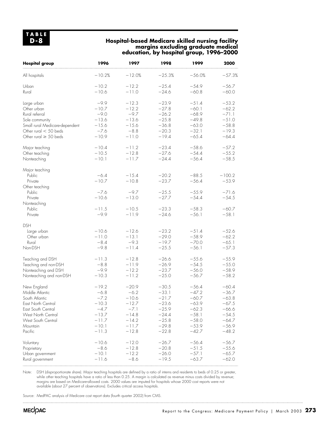## **Hospital-based Medicare skilled nursing facility margins excluding graduate medical education, by hospital group, 1996–2000**

| All hospitals<br>$-10.2%$<br>$-12.0%$<br>$-25.3%$<br>$-56.0%$<br>$-57.3%$<br>Urban<br>$-10.2$<br>$-12.2$<br>$-25.4$<br>$-54.9$<br>$-56.7$<br>Rural<br>$-10.6$<br>$-11.0$<br>$-24.6$<br>$-60.8$<br>$-60.0$<br>$-9.9$<br>$-12.3$<br>$-23.9$<br>$-51.4$<br>$-53.2$<br>Large urban<br>Other urban<br>$-10.7$<br>$-12.2$<br>$-60.1$<br>$-62.2$<br>$-27.8$<br>$-9.0$<br>$-9.7$<br>$-68.9$<br>$-71.1$<br>Rural referral<br>$-26.2$<br>$-13.6$<br>$-13.6$<br>$-49.8$<br>$-51.0$<br>Sole community<br>$-25.8$<br>$-58.8$<br>Small rural Medicare-dependent<br>$-15.6$<br>$-15.6$<br>$-36.8$<br>$-63.0$<br>$-7.6$<br>$-32.1$<br>$-19.3$<br>Other rural $<$ 50 beds<br>$-8.8$<br>$-20.3$<br>Other rural $\geq$ 50 beds<br>$-10.9$<br>$-11.0$<br>$-19.4$<br>$-65.4$<br>$-64.4$<br>$-10.4$<br>$-11.2$<br>$-23.4$<br>$-58.6$<br>Major teaching<br>$-57.2$<br>$-12.8$<br>$-27.6$<br>$-54.4$<br>$-10.5$<br>$-55.2$<br>Other teaching<br>$-24.4$<br>$-56.4$<br>$-10.1$<br>$-11.7$<br>$-58.5$<br>Nonteaching<br>Major teaching<br>Public<br>$-6.4$<br>$-15.4$<br>$-20.2$<br>$-88.5$<br>$-100.2$<br>$-10.7$<br>Private<br>$-10.8$<br>$-23.7$<br>$-56.4$<br>$-53.9$<br>Other teaching<br>$-55.9$<br>Public<br>$-7.6$<br>$-9.7$<br>$-25.5$<br>$-71.6$<br>$-10.6$<br>$-13.0$<br>$-54.4$<br>Private<br>$-27.7$<br>$-54.5$<br>Nonteaching<br>Public<br>$-58.3$<br>$-11.5$<br>$-10.5$<br>$-23.3$<br>$-60.7$<br>$-9.9$<br>$-24.6$<br>$-56.1$<br>$-11.9$<br>$-58.1$<br>Private<br><b>DSH</b><br>Large urban<br>$-10.6$<br>$-12.6$<br>$-23.2$<br>$-51.4$<br>$-52.6$<br>Other urban<br>$-11.0$<br>$-13.1$<br>$-29.0$<br>$-58.9$<br>$-62.2$<br>$-8.4$<br>$-9.3$<br>$-19.7$<br>$-70.0$<br>$-65.1$<br>Rural<br>$-11.4$<br>Non-DSH<br>$-9.8$<br>$-25.5$<br>$-56.1$<br>$-57.3$<br>Teaching and DSH<br>$-12.8$<br>$-26.6$<br>$-55.6$<br>$-55.9$<br>$-11.3$<br>$-54.5$<br>$-55.0$<br>Teaching and non-DSH<br>$-8.8$<br>$-11.9$<br>$-26.9$<br>$-56.0$<br>Nonteaching and DSH<br>$-9.9$<br>$-12.2$<br>$-23.7$<br>$-58.9$<br>$-25.0$<br>$-10.3$<br>$-11.2$<br>$-56.7$<br>$-58.2$<br>Nonteaching and non-DSH<br>$-19.2$<br>$-20.9$<br>$-30.5$<br>$-56.4$<br>$-60.4$<br>New England<br>Middle Atlantic<br>$-6.8$<br>$-6.2$<br>$-33.1$<br>$-47.2$<br>$-36.7$<br>South Atlantic<br>$-7.2$<br>$-10.6$<br>$-21.7$<br>$-60.7$<br>$-63.8$<br>East North Central<br>$-23.6$<br>$-10.3$<br>$-12.7$<br>$-63.9$<br>$-67.5$<br>$-7.1$<br>$-25.9$<br>$-4.7$<br>$-62.3$<br>$-66.6$<br>East South Central<br>$-13.7$<br>$-14.8$<br>$-24.4$<br>$-58.1$<br>$-54.5$<br>West North Central<br>$-14.2$<br>$-25.8$<br>$-58.0$<br>$-64.7$<br>West South Central<br>$-11.7$<br>$-10.1$<br>$-11.7$<br>$-29.8$<br>$-53.9$<br>$-56.9$<br>Mountain<br>Pacific<br>$-11.3$<br>$-22.8$<br>$-12.8$<br>$-42.7$<br>$-48.2$<br>$-12.0$<br>$-56.4$<br>Voluntary<br>$-10.6$<br>$-26.7$<br>$-56.7$<br>$-8.6$<br>$-12.8$<br>$-20.8$<br>$-51.5$<br>$-55.6$<br>Proprietary<br>$-10.1$<br>$-12.2$<br>$-26.0$<br>$-57.1$<br>$-65.7$<br>Urban government<br>$-19.5$<br>$-11.6$<br>$-8.6$<br>$-63.7$<br>$-62.0$<br>Rural government | <b>Hospital group</b> | 1996 | 1997 | 1998 | 1999 | 2000 |
|-------------------------------------------------------------------------------------------------------------------------------------------------------------------------------------------------------------------------------------------------------------------------------------------------------------------------------------------------------------------------------------------------------------------------------------------------------------------------------------------------------------------------------------------------------------------------------------------------------------------------------------------------------------------------------------------------------------------------------------------------------------------------------------------------------------------------------------------------------------------------------------------------------------------------------------------------------------------------------------------------------------------------------------------------------------------------------------------------------------------------------------------------------------------------------------------------------------------------------------------------------------------------------------------------------------------------------------------------------------------------------------------------------------------------------------------------------------------------------------------------------------------------------------------------------------------------------------------------------------------------------------------------------------------------------------------------------------------------------------------------------------------------------------------------------------------------------------------------------------------------------------------------------------------------------------------------------------------------------------------------------------------------------------------------------------------------------------------------------------------------------------------------------------------------------------------------------------------------------------------------------------------------------------------------------------------------------------------------------------------------------------------------------------------------------------------------------------------------------------------------------------------------------------------------------------------------------------------------------------------------------------------------------------------------------------------------------------------------------------------------------------------------------------------------------------------------------------------------------------------------------------------------------------------------------------------------------------------------------------------------------------------------------------------------|-----------------------|------|------|------|------|------|
|                                                                                                                                                                                                                                                                                                                                                                                                                                                                                                                                                                                                                                                                                                                                                                                                                                                                                                                                                                                                                                                                                                                                                                                                                                                                                                                                                                                                                                                                                                                                                                                                                                                                                                                                                                                                                                                                                                                                                                                                                                                                                                                                                                                                                                                                                                                                                                                                                                                                                                                                                                                                                                                                                                                                                                                                                                                                                                                                                                                                                                                 |                       |      |      |      |      |      |
|                                                                                                                                                                                                                                                                                                                                                                                                                                                                                                                                                                                                                                                                                                                                                                                                                                                                                                                                                                                                                                                                                                                                                                                                                                                                                                                                                                                                                                                                                                                                                                                                                                                                                                                                                                                                                                                                                                                                                                                                                                                                                                                                                                                                                                                                                                                                                                                                                                                                                                                                                                                                                                                                                                                                                                                                                                                                                                                                                                                                                                                 |                       |      |      |      |      |      |
|                                                                                                                                                                                                                                                                                                                                                                                                                                                                                                                                                                                                                                                                                                                                                                                                                                                                                                                                                                                                                                                                                                                                                                                                                                                                                                                                                                                                                                                                                                                                                                                                                                                                                                                                                                                                                                                                                                                                                                                                                                                                                                                                                                                                                                                                                                                                                                                                                                                                                                                                                                                                                                                                                                                                                                                                                                                                                                                                                                                                                                                 |                       |      |      |      |      |      |
|                                                                                                                                                                                                                                                                                                                                                                                                                                                                                                                                                                                                                                                                                                                                                                                                                                                                                                                                                                                                                                                                                                                                                                                                                                                                                                                                                                                                                                                                                                                                                                                                                                                                                                                                                                                                                                                                                                                                                                                                                                                                                                                                                                                                                                                                                                                                                                                                                                                                                                                                                                                                                                                                                                                                                                                                                                                                                                                                                                                                                                                 |                       |      |      |      |      |      |
|                                                                                                                                                                                                                                                                                                                                                                                                                                                                                                                                                                                                                                                                                                                                                                                                                                                                                                                                                                                                                                                                                                                                                                                                                                                                                                                                                                                                                                                                                                                                                                                                                                                                                                                                                                                                                                                                                                                                                                                                                                                                                                                                                                                                                                                                                                                                                                                                                                                                                                                                                                                                                                                                                                                                                                                                                                                                                                                                                                                                                                                 |                       |      |      |      |      |      |
|                                                                                                                                                                                                                                                                                                                                                                                                                                                                                                                                                                                                                                                                                                                                                                                                                                                                                                                                                                                                                                                                                                                                                                                                                                                                                                                                                                                                                                                                                                                                                                                                                                                                                                                                                                                                                                                                                                                                                                                                                                                                                                                                                                                                                                                                                                                                                                                                                                                                                                                                                                                                                                                                                                                                                                                                                                                                                                                                                                                                                                                 |                       |      |      |      |      |      |
|                                                                                                                                                                                                                                                                                                                                                                                                                                                                                                                                                                                                                                                                                                                                                                                                                                                                                                                                                                                                                                                                                                                                                                                                                                                                                                                                                                                                                                                                                                                                                                                                                                                                                                                                                                                                                                                                                                                                                                                                                                                                                                                                                                                                                                                                                                                                                                                                                                                                                                                                                                                                                                                                                                                                                                                                                                                                                                                                                                                                                                                 |                       |      |      |      |      |      |
|                                                                                                                                                                                                                                                                                                                                                                                                                                                                                                                                                                                                                                                                                                                                                                                                                                                                                                                                                                                                                                                                                                                                                                                                                                                                                                                                                                                                                                                                                                                                                                                                                                                                                                                                                                                                                                                                                                                                                                                                                                                                                                                                                                                                                                                                                                                                                                                                                                                                                                                                                                                                                                                                                                                                                                                                                                                                                                                                                                                                                                                 |                       |      |      |      |      |      |
|                                                                                                                                                                                                                                                                                                                                                                                                                                                                                                                                                                                                                                                                                                                                                                                                                                                                                                                                                                                                                                                                                                                                                                                                                                                                                                                                                                                                                                                                                                                                                                                                                                                                                                                                                                                                                                                                                                                                                                                                                                                                                                                                                                                                                                                                                                                                                                                                                                                                                                                                                                                                                                                                                                                                                                                                                                                                                                                                                                                                                                                 |                       |      |      |      |      |      |
|                                                                                                                                                                                                                                                                                                                                                                                                                                                                                                                                                                                                                                                                                                                                                                                                                                                                                                                                                                                                                                                                                                                                                                                                                                                                                                                                                                                                                                                                                                                                                                                                                                                                                                                                                                                                                                                                                                                                                                                                                                                                                                                                                                                                                                                                                                                                                                                                                                                                                                                                                                                                                                                                                                                                                                                                                                                                                                                                                                                                                                                 |                       |      |      |      |      |      |
|                                                                                                                                                                                                                                                                                                                                                                                                                                                                                                                                                                                                                                                                                                                                                                                                                                                                                                                                                                                                                                                                                                                                                                                                                                                                                                                                                                                                                                                                                                                                                                                                                                                                                                                                                                                                                                                                                                                                                                                                                                                                                                                                                                                                                                                                                                                                                                                                                                                                                                                                                                                                                                                                                                                                                                                                                                                                                                                                                                                                                                                 |                       |      |      |      |      |      |
|                                                                                                                                                                                                                                                                                                                                                                                                                                                                                                                                                                                                                                                                                                                                                                                                                                                                                                                                                                                                                                                                                                                                                                                                                                                                                                                                                                                                                                                                                                                                                                                                                                                                                                                                                                                                                                                                                                                                                                                                                                                                                                                                                                                                                                                                                                                                                                                                                                                                                                                                                                                                                                                                                                                                                                                                                                                                                                                                                                                                                                                 |                       |      |      |      |      |      |
|                                                                                                                                                                                                                                                                                                                                                                                                                                                                                                                                                                                                                                                                                                                                                                                                                                                                                                                                                                                                                                                                                                                                                                                                                                                                                                                                                                                                                                                                                                                                                                                                                                                                                                                                                                                                                                                                                                                                                                                                                                                                                                                                                                                                                                                                                                                                                                                                                                                                                                                                                                                                                                                                                                                                                                                                                                                                                                                                                                                                                                                 |                       |      |      |      |      |      |
|                                                                                                                                                                                                                                                                                                                                                                                                                                                                                                                                                                                                                                                                                                                                                                                                                                                                                                                                                                                                                                                                                                                                                                                                                                                                                                                                                                                                                                                                                                                                                                                                                                                                                                                                                                                                                                                                                                                                                                                                                                                                                                                                                                                                                                                                                                                                                                                                                                                                                                                                                                                                                                                                                                                                                                                                                                                                                                                                                                                                                                                 |                       |      |      |      |      |      |
|                                                                                                                                                                                                                                                                                                                                                                                                                                                                                                                                                                                                                                                                                                                                                                                                                                                                                                                                                                                                                                                                                                                                                                                                                                                                                                                                                                                                                                                                                                                                                                                                                                                                                                                                                                                                                                                                                                                                                                                                                                                                                                                                                                                                                                                                                                                                                                                                                                                                                                                                                                                                                                                                                                                                                                                                                                                                                                                                                                                                                                                 |                       |      |      |      |      |      |
|                                                                                                                                                                                                                                                                                                                                                                                                                                                                                                                                                                                                                                                                                                                                                                                                                                                                                                                                                                                                                                                                                                                                                                                                                                                                                                                                                                                                                                                                                                                                                                                                                                                                                                                                                                                                                                                                                                                                                                                                                                                                                                                                                                                                                                                                                                                                                                                                                                                                                                                                                                                                                                                                                                                                                                                                                                                                                                                                                                                                                                                 |                       |      |      |      |      |      |
|                                                                                                                                                                                                                                                                                                                                                                                                                                                                                                                                                                                                                                                                                                                                                                                                                                                                                                                                                                                                                                                                                                                                                                                                                                                                                                                                                                                                                                                                                                                                                                                                                                                                                                                                                                                                                                                                                                                                                                                                                                                                                                                                                                                                                                                                                                                                                                                                                                                                                                                                                                                                                                                                                                                                                                                                                                                                                                                                                                                                                                                 |                       |      |      |      |      |      |
|                                                                                                                                                                                                                                                                                                                                                                                                                                                                                                                                                                                                                                                                                                                                                                                                                                                                                                                                                                                                                                                                                                                                                                                                                                                                                                                                                                                                                                                                                                                                                                                                                                                                                                                                                                                                                                                                                                                                                                                                                                                                                                                                                                                                                                                                                                                                                                                                                                                                                                                                                                                                                                                                                                                                                                                                                                                                                                                                                                                                                                                 |                       |      |      |      |      |      |
|                                                                                                                                                                                                                                                                                                                                                                                                                                                                                                                                                                                                                                                                                                                                                                                                                                                                                                                                                                                                                                                                                                                                                                                                                                                                                                                                                                                                                                                                                                                                                                                                                                                                                                                                                                                                                                                                                                                                                                                                                                                                                                                                                                                                                                                                                                                                                                                                                                                                                                                                                                                                                                                                                                                                                                                                                                                                                                                                                                                                                                                 |                       |      |      |      |      |      |
|                                                                                                                                                                                                                                                                                                                                                                                                                                                                                                                                                                                                                                                                                                                                                                                                                                                                                                                                                                                                                                                                                                                                                                                                                                                                                                                                                                                                                                                                                                                                                                                                                                                                                                                                                                                                                                                                                                                                                                                                                                                                                                                                                                                                                                                                                                                                                                                                                                                                                                                                                                                                                                                                                                                                                                                                                                                                                                                                                                                                                                                 |                       |      |      |      |      |      |
|                                                                                                                                                                                                                                                                                                                                                                                                                                                                                                                                                                                                                                                                                                                                                                                                                                                                                                                                                                                                                                                                                                                                                                                                                                                                                                                                                                                                                                                                                                                                                                                                                                                                                                                                                                                                                                                                                                                                                                                                                                                                                                                                                                                                                                                                                                                                                                                                                                                                                                                                                                                                                                                                                                                                                                                                                                                                                                                                                                                                                                                 |                       |      |      |      |      |      |
|                                                                                                                                                                                                                                                                                                                                                                                                                                                                                                                                                                                                                                                                                                                                                                                                                                                                                                                                                                                                                                                                                                                                                                                                                                                                                                                                                                                                                                                                                                                                                                                                                                                                                                                                                                                                                                                                                                                                                                                                                                                                                                                                                                                                                                                                                                                                                                                                                                                                                                                                                                                                                                                                                                                                                                                                                                                                                                                                                                                                                                                 |                       |      |      |      |      |      |
|                                                                                                                                                                                                                                                                                                                                                                                                                                                                                                                                                                                                                                                                                                                                                                                                                                                                                                                                                                                                                                                                                                                                                                                                                                                                                                                                                                                                                                                                                                                                                                                                                                                                                                                                                                                                                                                                                                                                                                                                                                                                                                                                                                                                                                                                                                                                                                                                                                                                                                                                                                                                                                                                                                                                                                                                                                                                                                                                                                                                                                                 |                       |      |      |      |      |      |
|                                                                                                                                                                                                                                                                                                                                                                                                                                                                                                                                                                                                                                                                                                                                                                                                                                                                                                                                                                                                                                                                                                                                                                                                                                                                                                                                                                                                                                                                                                                                                                                                                                                                                                                                                                                                                                                                                                                                                                                                                                                                                                                                                                                                                                                                                                                                                                                                                                                                                                                                                                                                                                                                                                                                                                                                                                                                                                                                                                                                                                                 |                       |      |      |      |      |      |
|                                                                                                                                                                                                                                                                                                                                                                                                                                                                                                                                                                                                                                                                                                                                                                                                                                                                                                                                                                                                                                                                                                                                                                                                                                                                                                                                                                                                                                                                                                                                                                                                                                                                                                                                                                                                                                                                                                                                                                                                                                                                                                                                                                                                                                                                                                                                                                                                                                                                                                                                                                                                                                                                                                                                                                                                                                                                                                                                                                                                                                                 |                       |      |      |      |      |      |
|                                                                                                                                                                                                                                                                                                                                                                                                                                                                                                                                                                                                                                                                                                                                                                                                                                                                                                                                                                                                                                                                                                                                                                                                                                                                                                                                                                                                                                                                                                                                                                                                                                                                                                                                                                                                                                                                                                                                                                                                                                                                                                                                                                                                                                                                                                                                                                                                                                                                                                                                                                                                                                                                                                                                                                                                                                                                                                                                                                                                                                                 |                       |      |      |      |      |      |
|                                                                                                                                                                                                                                                                                                                                                                                                                                                                                                                                                                                                                                                                                                                                                                                                                                                                                                                                                                                                                                                                                                                                                                                                                                                                                                                                                                                                                                                                                                                                                                                                                                                                                                                                                                                                                                                                                                                                                                                                                                                                                                                                                                                                                                                                                                                                                                                                                                                                                                                                                                                                                                                                                                                                                                                                                                                                                                                                                                                                                                                 |                       |      |      |      |      |      |
|                                                                                                                                                                                                                                                                                                                                                                                                                                                                                                                                                                                                                                                                                                                                                                                                                                                                                                                                                                                                                                                                                                                                                                                                                                                                                                                                                                                                                                                                                                                                                                                                                                                                                                                                                                                                                                                                                                                                                                                                                                                                                                                                                                                                                                                                                                                                                                                                                                                                                                                                                                                                                                                                                                                                                                                                                                                                                                                                                                                                                                                 |                       |      |      |      |      |      |
|                                                                                                                                                                                                                                                                                                                                                                                                                                                                                                                                                                                                                                                                                                                                                                                                                                                                                                                                                                                                                                                                                                                                                                                                                                                                                                                                                                                                                                                                                                                                                                                                                                                                                                                                                                                                                                                                                                                                                                                                                                                                                                                                                                                                                                                                                                                                                                                                                                                                                                                                                                                                                                                                                                                                                                                                                                                                                                                                                                                                                                                 |                       |      |      |      |      |      |
|                                                                                                                                                                                                                                                                                                                                                                                                                                                                                                                                                                                                                                                                                                                                                                                                                                                                                                                                                                                                                                                                                                                                                                                                                                                                                                                                                                                                                                                                                                                                                                                                                                                                                                                                                                                                                                                                                                                                                                                                                                                                                                                                                                                                                                                                                                                                                                                                                                                                                                                                                                                                                                                                                                                                                                                                                                                                                                                                                                                                                                                 |                       |      |      |      |      |      |
|                                                                                                                                                                                                                                                                                                                                                                                                                                                                                                                                                                                                                                                                                                                                                                                                                                                                                                                                                                                                                                                                                                                                                                                                                                                                                                                                                                                                                                                                                                                                                                                                                                                                                                                                                                                                                                                                                                                                                                                                                                                                                                                                                                                                                                                                                                                                                                                                                                                                                                                                                                                                                                                                                                                                                                                                                                                                                                                                                                                                                                                 |                       |      |      |      |      |      |
|                                                                                                                                                                                                                                                                                                                                                                                                                                                                                                                                                                                                                                                                                                                                                                                                                                                                                                                                                                                                                                                                                                                                                                                                                                                                                                                                                                                                                                                                                                                                                                                                                                                                                                                                                                                                                                                                                                                                                                                                                                                                                                                                                                                                                                                                                                                                                                                                                                                                                                                                                                                                                                                                                                                                                                                                                                                                                                                                                                                                                                                 |                       |      |      |      |      |      |
|                                                                                                                                                                                                                                                                                                                                                                                                                                                                                                                                                                                                                                                                                                                                                                                                                                                                                                                                                                                                                                                                                                                                                                                                                                                                                                                                                                                                                                                                                                                                                                                                                                                                                                                                                                                                                                                                                                                                                                                                                                                                                                                                                                                                                                                                                                                                                                                                                                                                                                                                                                                                                                                                                                                                                                                                                                                                                                                                                                                                                                                 |                       |      |      |      |      |      |
|                                                                                                                                                                                                                                                                                                                                                                                                                                                                                                                                                                                                                                                                                                                                                                                                                                                                                                                                                                                                                                                                                                                                                                                                                                                                                                                                                                                                                                                                                                                                                                                                                                                                                                                                                                                                                                                                                                                                                                                                                                                                                                                                                                                                                                                                                                                                                                                                                                                                                                                                                                                                                                                                                                                                                                                                                                                                                                                                                                                                                                                 |                       |      |      |      |      |      |
|                                                                                                                                                                                                                                                                                                                                                                                                                                                                                                                                                                                                                                                                                                                                                                                                                                                                                                                                                                                                                                                                                                                                                                                                                                                                                                                                                                                                                                                                                                                                                                                                                                                                                                                                                                                                                                                                                                                                                                                                                                                                                                                                                                                                                                                                                                                                                                                                                                                                                                                                                                                                                                                                                                                                                                                                                                                                                                                                                                                                                                                 |                       |      |      |      |      |      |
|                                                                                                                                                                                                                                                                                                                                                                                                                                                                                                                                                                                                                                                                                                                                                                                                                                                                                                                                                                                                                                                                                                                                                                                                                                                                                                                                                                                                                                                                                                                                                                                                                                                                                                                                                                                                                                                                                                                                                                                                                                                                                                                                                                                                                                                                                                                                                                                                                                                                                                                                                                                                                                                                                                                                                                                                                                                                                                                                                                                                                                                 |                       |      |      |      |      |      |
|                                                                                                                                                                                                                                                                                                                                                                                                                                                                                                                                                                                                                                                                                                                                                                                                                                                                                                                                                                                                                                                                                                                                                                                                                                                                                                                                                                                                                                                                                                                                                                                                                                                                                                                                                                                                                                                                                                                                                                                                                                                                                                                                                                                                                                                                                                                                                                                                                                                                                                                                                                                                                                                                                                                                                                                                                                                                                                                                                                                                                                                 |                       |      |      |      |      |      |
|                                                                                                                                                                                                                                                                                                                                                                                                                                                                                                                                                                                                                                                                                                                                                                                                                                                                                                                                                                                                                                                                                                                                                                                                                                                                                                                                                                                                                                                                                                                                                                                                                                                                                                                                                                                                                                                                                                                                                                                                                                                                                                                                                                                                                                                                                                                                                                                                                                                                                                                                                                                                                                                                                                                                                                                                                                                                                                                                                                                                                                                 |                       |      |      |      |      |      |
|                                                                                                                                                                                                                                                                                                                                                                                                                                                                                                                                                                                                                                                                                                                                                                                                                                                                                                                                                                                                                                                                                                                                                                                                                                                                                                                                                                                                                                                                                                                                                                                                                                                                                                                                                                                                                                                                                                                                                                                                                                                                                                                                                                                                                                                                                                                                                                                                                                                                                                                                                                                                                                                                                                                                                                                                                                                                                                                                                                                                                                                 |                       |      |      |      |      |      |
|                                                                                                                                                                                                                                                                                                                                                                                                                                                                                                                                                                                                                                                                                                                                                                                                                                                                                                                                                                                                                                                                                                                                                                                                                                                                                                                                                                                                                                                                                                                                                                                                                                                                                                                                                                                                                                                                                                                                                                                                                                                                                                                                                                                                                                                                                                                                                                                                                                                                                                                                                                                                                                                                                                                                                                                                                                                                                                                                                                                                                                                 |                       |      |      |      |      |      |
|                                                                                                                                                                                                                                                                                                                                                                                                                                                                                                                                                                                                                                                                                                                                                                                                                                                                                                                                                                                                                                                                                                                                                                                                                                                                                                                                                                                                                                                                                                                                                                                                                                                                                                                                                                                                                                                                                                                                                                                                                                                                                                                                                                                                                                                                                                                                                                                                                                                                                                                                                                                                                                                                                                                                                                                                                                                                                                                                                                                                                                                 |                       |      |      |      |      |      |
|                                                                                                                                                                                                                                                                                                                                                                                                                                                                                                                                                                                                                                                                                                                                                                                                                                                                                                                                                                                                                                                                                                                                                                                                                                                                                                                                                                                                                                                                                                                                                                                                                                                                                                                                                                                                                                                                                                                                                                                                                                                                                                                                                                                                                                                                                                                                                                                                                                                                                                                                                                                                                                                                                                                                                                                                                                                                                                                                                                                                                                                 |                       |      |      |      |      |      |

Note: DSH (disproportionate share). Major teaching hospitals are defined by a ratio of interns and residents to beds of 0.25 or greater, while other teaching hospitals have a ratio of less than 0.25. A margin is calculated as revenue minus costs divided by revenue; margins are based on Medicare-allowed costs. 2000 values are imputed for hospitals whose 2000 cost reports were not available (about 27 percent of observations). Excludes critical access hospitals.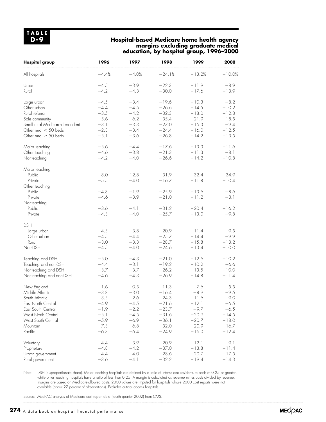### **Hospital-based Medicare home health agency margins excluding graduate medical education, by hospital group, 1996–2000**

| <b>Hospital group</b>          | 1996    | 1997    | 1998     | 1999     | 2000     |
|--------------------------------|---------|---------|----------|----------|----------|
| All hospitals                  | $-4.4%$ | $-4.0%$ | $-24.1%$ | $-13.2%$ | $-10.0%$ |
| Urban                          | $-4.5$  | $-3.9$  | $-22.3$  | $-11.9$  | $-8.9$   |
| Rural                          | $-4.2$  | $-4.3$  | $-30.0$  | $-17.6$  | $-13.9$  |
| Large urban                    | $-4.5$  | $-3.4$  | $-19.6$  | $-10.3$  | $-8.2$   |
| Other urban                    | $-4.4$  | $-4.5$  | $-26.6$  | $-14.5$  | $-10.2$  |
| Rural referral                 | $-3.5$  | $-4.2$  | $-32.3$  | $-18.0$  | $-12.8$  |
| Sole community                 | $-5.6$  | $-6.2$  | $-35.4$  | $-21.9$  | $-18.5$  |
| Small rural Medicare-dependent | $-3.1$  | $-3.3$  | $-27.0$  | $-16.3$  | $-9.4$   |
| Other rural $<$ 50 beds        | $-2.3$  | $-3.4$  | $-24.4$  | $-16.0$  | $-12.5$  |
| Other rural $\geq$ 50 beds     | $-5.1$  | $-3.6$  | $-26.8$  | $-14.2$  | $-13.5$  |
| Major teaching                 | $-5.6$  | $-4.4$  | $-17.6$  | $-13.3$  | $-11.6$  |
| Other teaching                 | $-4.6$  | $-3.8$  | $-21.3$  | $-11.3$  | $-8.1$   |
| Nonteaching                    | $-4.2$  | $-4.0$  | $-26.6$  | $-14.2$  | $-10.8$  |
| Major teaching                 |         |         |          |          |          |
| Public                         | $-8.0$  | $-12.8$ | $-31.9$  | $-32.4$  | $-34.9$  |
| Private                        | $-5.5$  | $-4.0$  | $-16.7$  | $-11.8$  | $-10.4$  |
| Other teaching                 |         |         |          |          |          |
| Public                         | $-4.8$  | $-1.9$  | $-25.9$  | $-13.6$  | $-8.6$   |
| Private                        | $-4.6$  | $-3.9$  | $-21.0$  | $-11.2$  | $-8.1$   |
| Nonteaching                    |         |         |          |          |          |
| Public                         | $-3.6$  | $-4.1$  | $-31.2$  | $-20.4$  | $-16.2$  |
| Private                        | $-4.3$  | $-4.0$  | $-25.7$  | $-13.0$  | $-9.8$   |
| <b>DSH</b>                     |         |         |          |          |          |
| Large urban                    | $-4.5$  | $-3.8$  | $-20.9$  | $-11.4$  | $-9.5$   |
| Other urban                    | $-4.5$  | $-4.4$  | $-25.7$  | $-14.4$  | $-9.9$   |
| Rural                          | $-3.0$  | $-3.3$  | $-28.7$  | $-15.8$  | $-13.2$  |
| Non-DSH                        | $-4.5$  | $-4.0$  | $-24.6$  | $-13.4$  | $-10.0$  |
| Teaching and DSH               | $-5.0$  | $-4.3$  | $-21.0$  | $-12.6$  | $-10.2$  |
| Teaching and non-DSH           | $-4.4$  | $-3.1$  | $-19.2$  | $-10.2$  | $-6.6$   |
| Nonteaching and DSH            | $-3.7$  | $-3.7$  | $-26.2$  | $-13.5$  | $-10.0$  |
| Nonteaching and non-DSH        | $-4.6$  | $-4.3$  | $-26.9$  | $-14.8$  | $-11.4$  |
| New England                    | $-1.6$  | $-0.5$  | $-11.3$  | $-7.6$   | $-5.5$   |
| Middle Atlantic                | $-3.8$  | $-3.0$  | $-16.4$  | $-8.9$   | $-9.5$   |
| South Atlantic                 | 3.5     | 2.6     | $-24.3$  | -11.6    | $-9.0$   |
| East North Central             | $-4.9$  | $-4.5$  | $-21.6$  | $-12.1$  | $-6.5$   |
| East South Central             | $-1.9$  | $-2.2$  | $-23.7$  | $-9.7$   | $-6.5$   |
| West North Central             | $-5.1$  | $-4.5$  | $-31.6$  | $-20.9$  | $-14.5$  |
| West South Central             | $-5.9$  | $-6.9$  | $-36.1$  | $-20.7$  | $-18.0$  |
| Mountain                       | $-7.3$  | $-6.8$  | $-32.0$  | $-20.9$  | $-16.7$  |
| Pacific                        | $-6.3$  | $-6.4$  | $-24.9$  | $-16.0$  | $-12.4$  |
| Voluntary                      | $-4.4$  | $-3.9$  | $-20.9$  | $-12.1$  | $-9.1$   |
| Proprietary                    | $-4.8$  | $-4.2$  | $-37.0$  | $-13.8$  | $-11.4$  |
| Urban government               | $-4.4$  | $-4.0$  | $-28.6$  | $-20.7$  | $-17.5$  |
| Rural government               | $-3.6$  | $-4.1$  | $-32.2$  | $-19.4$  | $-14.3$  |

Note: DSH (disproportionate share). Major teaching hospitals are defined by a ratio of interns and residents to beds of 0.25 or greater, while other teaching hospitals have a ratio of less than 0.25. A margin is calculated as revenue minus costs divided by revenue; margins are based on Medicare-allowed costs. 2000 values are imputed for hospitals whose 2000 cost reports were not available (about 27 percent of observations). Excludes critical access hospitals.

Source: MedPAC analysis of Medicare cost report data (fourth quarter 2002) from CMS.

**274** A data book on hospital financial performance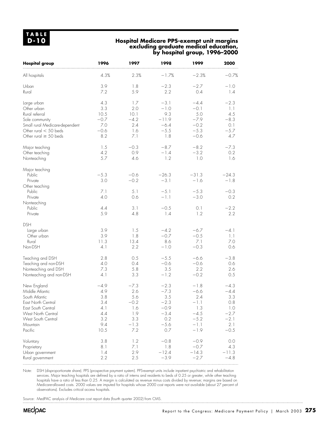### **Hospital Medicare PPS-exempt unit margins excluding graduate medical education, by hospital group, 1996–2000**

| <b>Hospital group</b>                                        | 1996                      | 1997                      | 1998                              | 1999                              | 2000                        |
|--------------------------------------------------------------|---------------------------|---------------------------|-----------------------------------|-----------------------------------|-----------------------------|
| All hospitals                                                | 4.3%                      | 2.3%                      | $-1.7%$                           | $-2.3%$                           | $-0.7%$                     |
| Urban                                                        | 3.9                       | 1.8                       | $-2.3$                            | $-2.7$                            | $-1.0$                      |
| Rural                                                        | 7.2                       | 5.9                       | 2.2                               | 0.4                               | 1.4                         |
| Large urban                                                  | 4.3                       | 1.7                       | $-3.1$                            | $-4.4$                            | $-2.3$                      |
| Other urban                                                  | 3.3                       | 2.0                       | $-1.0$                            | $-0.1$                            | 1.1                         |
| Rural referral                                               | 10.5                      | 10.1                      | 9.3                               | 5.0                               | 4.5                         |
| Sole community                                               | $-0.7$                    | $-4.2$                    | $-11.9$                           | $-7.9$                            | $-8.3$                      |
| Small rural Medicare-dependent                               | 7.0                       | 2.4                       | $-6.4$                            | $-0.2$                            | 0.1                         |
| Other rural $<$ 50 beds                                      | $-0.6$                    | 1.6                       | $-5.5$                            | $-5.3$                            | $-5.7$                      |
| Other rural $\geq$ 50 beds                                   | 8.2                       | 7.1                       | 1.8                               | $-0.6$                            | 4.7                         |
| Major teaching                                               | 1.5                       | $-0.3$                    | $-8.7$                            | $-8.2$                            | $-7.3$                      |
| Other teaching                                               | 4.2                       | 0.9                       | $-1.4$                            | $-3.2$                            | 0.2                         |
| Nonteaching                                                  | 5.7                       | 4.6                       | 1.2                               | 1.0                               | 1.6                         |
| Major teaching<br>Public<br>Private<br>Other teaching        | $-5.3$<br>3.0             | $-0.6$<br>$-0.2$          | $-26.3$<br>$-3.1$                 | $-31.3$<br>$-1.6$                 | $-24.3$<br>$-1.8$           |
| Public                                                       | 7.1                       | 5.1                       | $-5.1$                            | $-5.3$                            | $-0.3$                      |
| Private                                                      | 4.0                       | 0.6                       | $-1.1$                            | $-3.0$                            | 0.2                         |
| Nonteaching<br>Public<br>Private                             | 4.4<br>5.9                | 3.1<br>4.8                | $-0.5$<br>1.4                     | 0.1<br>1.2                        | $-2.2$<br>2.2               |
| <b>DSH</b><br>Large urban<br>Other urban<br>Rural<br>Non-DSH | 3.9<br>3.9<br>11.3<br>4.1 | 1.5<br>1.8<br>13.4<br>2.2 | $-4.2$<br>$-0.7$<br>8.6<br>$-1.0$ | $-6.7$<br>$-0.5$<br>7.1<br>$-0.3$ | $-4.1$<br>1.1<br>7.0<br>0.6 |
| Teaching and DSH                                             | 2.8                       | 0.5                       | $-5.5$                            | $-6.6$                            | $-3.8$                      |
| Teaching and non-DSH                                         | 4.0                       | 0.4                       | $-0.6$                            | $-0.6$                            | 0.6                         |
| Nonteaching and DSH                                          | 7.3                       | 5.8                       | 3.5                               | 2.2                               | 2.6                         |
| Nonteaching and non-DSH                                      | 4.1                       | 3.3                       | $-1.2$                            | $-0.2$                            | 0.5                         |
| New England                                                  | $-4.9$                    | $-7.3$                    | $-2.3$                            | $-1.8$                            | $-4.3$                      |
| Middle Atlantic                                              | 4.9                       | 2.6                       | $-7.3$                            | $-6.6$                            | $-4.4$                      |
| South Atlantic                                               | 3.8                       | 5.6                       | 3.5                               | 2.4                               | 3.3                         |
| East North Central                                           | 3.4                       | $-0.2$                    | $-2.3$                            | $-1.1$                            | 0.8                         |
| East South Central                                           | 4.1                       | 1.6                       | $-0.9$                            | 1.3                               | 1.0                         |
| West North Central                                           | 4.4                       | 1.9                       | $-3.4$                            | $-4.5$                            | $-2.7$                      |
| West South Central                                           | 3.2                       | 3.3                       | 0.2                               | $-5.2$                            | $-2.1$                      |
| Mountain                                                     | 9.4                       | $-1.3$                    | $-5.6$                            | $-1.1$                            | 2.1                         |
| Pacific                                                      | 10.5                      | 7.2                       | 0.7                               | $-1.9$                            | $-0.5$                      |
| Voluntary                                                    | 3.8                       | 1.2                       | $-0.8$                            | $-0.9$                            | 0.0                         |
| Proprietary                                                  | 8.1                       | 7.1                       | 1.8                               | $-0.7$                            | 4.3                         |
| Urban government                                             | 1.4                       | 2.9                       | $-12.4$                           | $-14.3$                           | $-11.3$                     |
| Rural government                                             | 2.2                       | 2.5                       | $-3.9$                            | $-2.7$                            | $-4.8$                      |

Note: DSH (disproportionate share). PPS (prospective payment system). PPS-exempt units include inpatient psychiatric and rehabilitation services. Major teaching hospitals are defined by a ratio of interns and residents to beds of 0.25 or greater, while other teaching hospitals have a ratio of less than 0.25. A margin is calculated as revenue minus costs divided by revenue; margins are based on Medicare-allowed costs. 2000 values are imputed for hospitals whose 2000 cost reports were not available (about 27 percent of observations). Excludes critical access hospitals.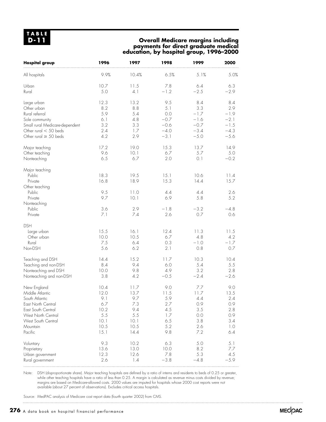## **Overall Medicare margins including payments for direct graduate medical education, by hospital group, 1996–2000**

| <b>Hospital group</b>          | 1996 | 1997  | 1998   | 1999    | 2000   |
|--------------------------------|------|-------|--------|---------|--------|
| All hospitals                  | 9.9% | 10.4% | 6.5%   | 5.1%    | 5.0%   |
| Urban                          | 10.7 | 11.5  | 7.8    | 6.4     | 6.3    |
| Rural                          | 5.0  | 4.1   | $-1.2$ | $-2.5$  | $-2.9$ |
| Large urban                    | 12.3 | 13.2  | 9.5    | 8.4     | 8.4    |
| Other urban                    | 8.2  | 8.8   | 5.1    | 3.3     | 2.9    |
| Rural referral                 | 5.9  | 5.4   | 0.0    | $-1.7$  | $-1.9$ |
| Sole community                 | 6.1  | 4.8   | $-0.7$ | $-1.6$  | $-2.1$ |
| Small rural Medicare-dependent | 3.2  | 3.3   | $-0.6$ | $-0.7$  | $-1.5$ |
| Other rural $<$ 50 beds        | 2.4  | 1.7   | $-4.0$ | $-3.4$  | $-4.3$ |
| Other rural $\geq$ 50 beds     | 4.2  | 2.9   | $-3.1$ | $-5.0$  | $-5.6$ |
| Major teaching                 | 17.2 | 19.0  | 15.3   | 13.7    | 14.9   |
| Other teaching                 | 9.6  | 10.1  | 6.7    | 5.7     | 5.0    |
| Nonteaching                    | 6.5  | 6.7   | 2.0    | 0.1     | $-0.2$ |
| Major teaching                 |      |       |        |         |        |
| Public                         | 18.3 | 19.5  | 15.1   | 10.6    | 11.4   |
| Private                        | 16.8 | 18.9  | 15.3   | 14.4    | 15.7   |
| Other teaching                 |      |       |        |         |        |
| Public                         | 9.5  | 11.0  | 4.4    | 4.4     | 2.6    |
| Private                        | 9.7  | 10.1  | 6.9    | 5.8     | 5.2    |
| Nonteaching<br>Public          | 3.6  | 2.9   | $-1.8$ | $-3.2$  | $-4.8$ |
| Private                        | 7.1  | 7.4   | 2.6    | 0.7     | 0.6    |
| <b>DSH</b>                     |      |       |        |         |        |
| Large urban                    | 15.5 | 16.1  | 12.4   | 11.3    | 11.5   |
| Other urban                    | 10.0 | 10.5  | 6.7    | 4.8     | 4.2    |
| Rural                          | 7.5  | 6.4   | 0.3    | $-1.0$  | $-1.7$ |
| Non-DSH                        | 5.6  | 6.2   | 2.1    | 0.8     | 0.7    |
| Teaching and DSH               | 14.4 | 15.2  | 11.7   | 10.3    | 10.4   |
| Teaching and non-DSH           | 8.4  | 9.4   | 6.0    | 5.4     | 5.5    |
| Nonteaching and DSH            | 10.0 | 9.8   | 4.9    | 3.2     | 2.8    |
| Nonteaching and non-DSH        | 3.8  | 4.2   | $-0.5$ | $-2.4$  | $-2.6$ |
| New England                    | 10.4 | 11.7  | 9.0    | 7.7     | 9.0    |
| Middle Atlantic                | 12.0 | 13.7  | 11.5   | 11.7    | 13.5   |
| South Atlantic                 | 9.1  | 9.7   | 5.9    | 4.4     | 2.4    |
| East North Central             | 6.7  | 7.3   | 2.7    | 0.9     | 0.9    |
| East South Central             | 10.2 | 9.4   | 4.5    | $3.5\,$ | 2.8    |
| West North Central             | 5.5  | 5.5   | 1.7    | 0.0     | 0.9    |
| West South Central             | 10.1 | 10.1  | 6.5    | 3.8     | 3.4    |
| Mountain                       | 10.5 | 10.5  | 5.2    | 2.6     | 1.0    |
| Pacific                        | 15.1 | 14.4  | 9.8    | 7.2     | 6.4    |
| Voluntary                      | 9.3  | 10.2  | 6.3    | 5.0     | 5.1    |
| Proprietary                    | 13.6 | 13.0  | 10.0   | 8.2     | 7.7    |
| Urban government               | 12.3 | 12.6  | 7.8    | 5.3     | 4.5    |
| Rural government               | 2.6  | 1.4   | $-3.8$ | $-4.8$  | $-5.9$ |

Note: DSH (disproportionate share). Major teaching hospitals are defined by a ratio of interns and residents to beds of 0.25 or greater, while other teaching hospitals have a ratio of less than 0.25. A margin is calculated as revenue minus costs divided by revenue; margins are based on Medicare-allowed costs. 2000 values are imputed for hospitals whose 2000 cost reports were not available (about 27 percent of observations). Excludes critical access hospitals.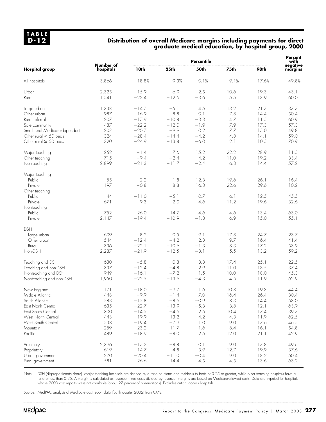#### **Distribution of overall Medicare margins including payments for direct graduate medical education, by hospital group, 2000**

|                                |                        | <b>Percentile</b> |                  |        |      |       |                     |
|--------------------------------|------------------------|-------------------|------------------|--------|------|-------|---------------------|
| <b>Hospital group</b>          | Number of<br>hospitals | 10th              | 25 <sub>th</sub> | 50th   | 75th | 90th  | negative<br>margins |
| All hospitals                  | 3,866                  | $-18.8%$          | $-9.3%$          | 0.1%   | 9.1% | 17.6% | 49.8%               |
| Urban                          | 2,325                  | $-15.9$           | $-6.9$           | 2.5    | 10.6 | 19.3  | 43.1                |
| Rural                          | 1,541                  | $-22.4$           | $-12.6$          | $-3.6$ | 5.5  | 13.9  | 60.0                |
| Large urban                    | 1,338                  | $-14.7$           | $-5.1$           | 4.5    | 13.2 | 21.7  | 37.7                |
| Other urban                    | 987                    | $-16.9$           | $-8.8$           | $-0.1$ | 7.8  | 14.4  | 50.4                |
| Rural referral                 | 207                    | $-17.9$           | $-10.8$          | $-3.3$ | 4.7  | 11.5  | 60.9                |
| Sole community                 | 487                    | $-22.2$           | $-12.0$          | $-1.9$ | 7.9  | 17.3  | 57.3                |
| Small rural Medicare-dependent | 203                    | $-20.7$           | $-9.9$           | 0.2    | 7.7  | 15.0  | 49.8                |
| Other rural $<$ 50 beds        | 324                    | $-28.4$           | $-14.4$          | $-4.2$ | 4.8  | 14.1  | 59.0                |
| Other rural $\geq$ 50 beds     | 320                    | $-24.9$           | $-13.8$          | $-6.0$ | 2.1  | 10.5  | 70.9                |
| Major teaching                 | 252                    | $-1.4$            | 7.6              | 15.2   | 22.2 | 28.9  | 11.5                |
| Other teaching                 | 715                    | $-9.4$            | $-2.4$           | 4.2    | 11.0 | 19.2  | 33.4                |
| Nonteaching                    | 2,899                  | $-21.3$           | $-11.7$          | $-2.4$ | 6.3  | 14.4  | 57.2                |
| Major teaching                 |                        |                   |                  |        |      |       |                     |
| Public                         | 55                     | $-2.2$            | 1.8              | 12.3   | 19.6 | 26.1  | 16.4                |
| Private                        | 197                    | $-0.8$            | 8.8              | 16.3   | 22.6 | 29.6  | 10.2                |
| Other teaching                 |                        |                   |                  |        |      |       |                     |
| Public                         | 44                     | $-11.0$           | $-5.1$           | 0.7    | 6.1  | 12.5  | 45.5                |
| Private                        | 671                    | $-9.3$            | $-2.0$           | 4.6    | 11.2 | 19.6  | 32.6                |
| Nonteaching                    |                        |                   |                  |        |      |       |                     |
| Public                         | 752                    | $-26.0$           | $-14.7$          | $-4.6$ | 4.6  | 13.4  | 63.0                |
| Private                        | 2,147                  | $-19.4$           | $-10.9$          | $-1.8$ | 6.9  | 15.0  | 55.1                |
| <b>DSH</b>                     |                        |                   |                  |        |      |       |                     |
| Large urban                    | 699                    | $-8.2$            | 0.5              | 9.1    | 17.8 | 24.7  | 23.7                |
| Other urban                    | 544                    | $-12.4$           | $-4.2$           | 2.3    | 9.7  | 16.4  | 41.4                |
| Rural                          | 336                    | $-22.1$           | $-10.6$          | $-1.3$ | 8.3  | 17.2  | 53.9                |
| Non-DSH                        | 2,287                  | $-21.9$           | $-12.5$          | $-3.1$ | 5.5  | 13.2  | 59.2                |
| Teaching and DSH               | 630                    | $-5.8$            | 0.8              | 8.8    | 17.4 | 25.1  | 22.5                |
| Teaching and non-DSH           | 337                    | $-12.4$           | $-4.8$           | 2.9    | 11.0 | 18.5  | 37.4                |
| Nonteaching and DSH            | 949                    | $-16.1$           | $-7.2$           | 1.5    | 10.0 | 18.0  | 45.3                |
| Nonteaching and non-DSH        | 1,950                  | $-22.5$           | $-13.6$          | $-4.3$ | 4.5  | 11.9  | 62.9                |
| New England                    | 171                    | $-18.0$           | $-9.7$           | 1.6    | 10.8 | 19.3  | 44.4                |
| Middle Atlantic                | 448                    | $-9.9$            | $-1.4$           | 7.0    | 16.4 | 26.4  | 30.4                |
| South Atlantic                 | 583                    | $-15.8$           | $-8.6$           | $-0.9$ | 8.3  | 14.4  | 53.0                |
| East North Central             | 635                    | $-22.7$           | $-13.9$          | $-5.3$ | 3.8  | 12.1  | 63.9                |
| East South Central             | 300                    | $-14.5$           | $-4.6$           | 2.5    | 10.4 | 17.4  | 39.7                |
| West North Central             | 443                    | $-19.9$           | $-13.2$          | $-4.2$ | 4.3  | 11.9  | 62.5                |
| West South Central             | 538                    | $-19.4$           | $-7.9$           | 1.0    | 9.0  | 17.6  | 46.5                |
| Mountain                       | 259                    | $-23.2$           | $-11.7$          | $-1.6$ | 8.4  | 16.1  | 54.8                |
| Pacific                        | 489                    | $-18.9$           | $-8.0$           | 2.5    | 12.0 | 21.1  | 42.9                |
| Voluntary                      | 2,396                  | $-17.2$           | $-8.8$           | 0.1    | 9.0  | 17.8  | 49.6                |
| Proprietary                    | 619                    | $-14.7$           | $-4.8$           | 3.9    | 12.7 | 19.9  | 37.6                |
| Urban government               | 270                    | $-20.4$           | $-11.0$          | $-0.4$ | 9.0  | 18.2  | 50.4                |
| Rural government               | 581                    | $-26.6$           | $-14.4$          | $-4.5$ | 4.5  | 13.6  | 63.2                |
|                                |                        |                   |                  |        |      |       |                     |

Note: DSH (disproportionate share). Major teaching hospitals are defined by a ratio of interns and residents to beds of 0.25 or greater, while other teaching hospitals have a ratio of less than 0.25. A margin is calculated as revenue minus costs divided by revenue; margins are based on Medicare-allowed costs. Data are imputed for hospitals whose 2000 cost reports were not available (about 27 percent of observations). Excludes critical access hospitals.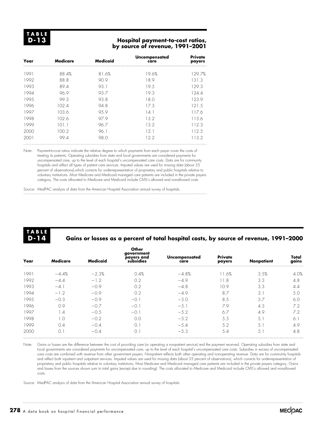#### **Hospital payment-to-cost ratios, by source of revenue, 1991–2001**

| Year | <b>Medicare</b> | <b>Medicaid</b> | Uncompensated<br>care | Private<br>payers |
|------|-----------------|-----------------|-----------------------|-------------------|
| 1991 | 88.4%           | 81.6%           | 19.6%                 | 129.7%            |
| 1992 | 88.8            | 90.9            | 18.9                  | 131.3             |
| 1993 | 89.4            | 93.1            | 19.5                  | 129.3             |
| 1994 | 96.9            | 93.7            | 19.3                  | 124.4             |
| 1995 | 99.3            | 93.8            | 18.0                  | 123.9             |
| 1996 | 102.4           | 94.8            | 17.3                  | 121.5             |
| 1997 | 103.6           | 95.9            | 14.1                  | 117.6             |
| 1998 | 102.6           | 97.9            | 13.2                  | 113.6             |
| 1999 | 101.1           | 96.7            | 13.2                  | 112.3             |
| 2000 | 100.2           | 96.1            | 12.1                  | 112.5             |
| 200. | 99.4            | 98.0            | 12.2                  | 113.2             |

Note: Payment-to-cost ratios indicate the relative degree to which payments from each payer cover the costs of treating its patients. Operating subsidies from state and local governments are considered payments for uncompensated care, up to the level of each hospital's uncompensated care costs. Data are for community hospitals and reflect all types of patient care services. Imputed values are used for missing data (about 35 percent of observations),which corrects for underrepresentation of proprietary and public hospitals relative to voluntary institutions. Most Medicare and Medicaid managed care patients are included in the private payers category. The costs allocated to Medicare and Medicaid include CMS's allowed and nonallowed costs.

Source: MedPAC analysis of data from the American Hospital Association annual survey of hospitals.

**TABLE D-14**

## **Gains or losses as a percent of total hospital costs, by source of revenue, 1991–2000**

| Year | Medicare         | <b>Medicaid</b> | Other<br>government<br>payers and<br>subsidies | Uncompensated<br>care | <b>Private</b><br>payers | Nonpatient | Total<br>gains |
|------|------------------|-----------------|------------------------------------------------|-----------------------|--------------------------|------------|----------------|
| 1991 | $-4.4%$          | $-2.3%$         | 0.4%                                           | $-4.8%$               | .6%                      | 3.5%       | 4.0%           |
| 1992 | $-4.4$           | $-1.2$          | 0.2                                            | $-4.9$                | -8                       | 3.3        | 4.8            |
| 1993 | $-4.1$           | $-0.9$          | 0.2                                            | $-4.8$                | 10.9                     | 3.3        | 4.4            |
| 1994 | $-1.2$           | $-0.9$          | 0.2                                            | $-4.9$                | 8.7                      | 3.1        | 5.0            |
| 1995 | $-0.3$           | $-0.9$          | $-0.7$                                         | $-5.0$                | 8.5                      | 3.7        | 6.0            |
| 1996 | 0.9              | $-0.7$          | $-0$ .                                         | $-5.1$                | 7.9                      | 4.3        | 7.2            |
| 1997 | 1.4              | $-0.5$          | $-0.7$                                         | $-5.2$                | 6.7                      | 4.9        | 7.2            |
| 1998 | 1.0              | $-0.2$          | 0.0                                            | $-5.2$                | 5.5                      | 5.1        | 6.             |
| 1999 | 0.4              | $-0.4$          | $\Omega$ .                                     | $-5.4$                | 5.2                      | 5.1        | 4.9            |
| 2000 | $\overline{0}$ . | $-0.4$          | 0.                                             | $-5.3$                | 5.4                      | 5.         | 4.8            |

Note: Gains or losses are the difference between the cost of providing care (or operating a nonpatient service) and the payment received. Operating subsidies from state and local governments are considered payments for uncompensated care, up to the level of each hospital's uncompensated care costs. Subsidies in excess of uncompensated care costs are combined with revenue from other government payers. Nonpatient reflects both other operating and nonoperating revenue. Data are for community hospitals and reflect both inpatient and outpatient services. Imputed values are used for missing data (about 35 percent of observations), which corrects for underrepresentation of proprietary and public hospitals relative to voluntary institutions. Most Medicare and Medicaid managed care patients are included in the private payers category. Gains and losses from the sources shown sum to total gains (except due to rounding). The costs allocated to Medicare and Medicaid include CMS's allowed and nonallowed costs.

Source: MedPAC analysis of data from the American Hospital Association annual survey of hospitals.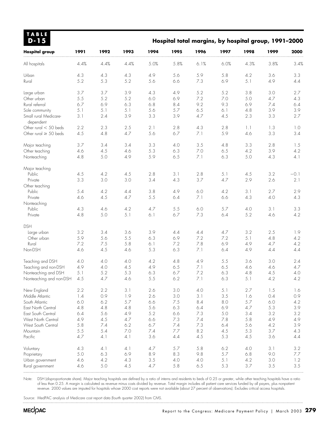| TABLE<br>$D-15$                                                                                      |                                 |                                 |                                 | Hospital total margins, by hospital group, 1991-2000 |                                 |                                 |                                 |                                 |                                 |                                 |
|------------------------------------------------------------------------------------------------------|---------------------------------|---------------------------------|---------------------------------|------------------------------------------------------|---------------------------------|---------------------------------|---------------------------------|---------------------------------|---------------------------------|---------------------------------|
| <b>Hospital group</b>                                                                                | 1991                            | 1992                            | 1993                            | 1994                                                 | 1995                            | 1996                            | 1997                            | 1998                            | 1999                            | 2000                            |
| All hospitals                                                                                        | 4.4%                            | 4.4%                            | 4.4%                            | 5.0%                                                 | 5.8%                            | 6.1%                            | 6.0%                            | 4.3%                            | 3.8%                            | 3.4%                            |
| Urban                                                                                                | 4.3                             | 4.3                             | 4.3                             | 4.9                                                  | 5.6                             | 5.9                             | 5.8                             | 4.2                             | 3.6                             | 3.3                             |
| Rural                                                                                                | 5.2                             | 5.3                             | 5.2                             | 5.6                                                  | 6.6                             | 7.3                             | 6.9                             | 5.1                             | 4.9                             | 4.4                             |
| Large urban<br>Other urban<br>Rural referral<br>Sole community<br>Small rural Medicare-<br>dependent | 3.7<br>5.5<br>6.7<br>5.1<br>3.1 | 3.7<br>5.2<br>6.9<br>5.1<br>2.4 | 3.9<br>5.2<br>6.3<br>5.1<br>3.9 | 4.3<br>6.0<br>6.8<br>5.6<br>3.3                      | 4.9<br>6.9<br>8.4<br>5.7<br>3.9 | 5.2<br>7.2<br>9.2<br>6.5<br>4.7 | 5.2<br>7.0<br>9.3<br>6.1<br>4.5 | 3.8<br>5.0<br>6.9<br>4.8<br>2.3 | 3.0<br>4.7<br>7.4<br>3.9<br>3.3 | 2.7<br>4.3<br>6.4<br>3.9<br>2.7 |
| Other rural $<$ 50 beds                                                                              | 2.2                             | 2.3                             | 2.5                             | 2.1                                                  | 2.8                             | 4.3                             | 2.8                             | 1.1                             | 1.3                             | 1.0                             |
| Other rural $\geq$ 50 beds                                                                           | 4.5                             | 4.8                             | 4.7                             | 5.6                                                  | 6.7                             | 7.1                             | 5.9                             | 4.6                             | 3.3                             | 3.4                             |
| Major teaching                                                                                       | 3.7                             | 3.4                             | 3.4                             | 3.3                                                  | 4.0                             | $3.5\,$                         | 4.8                             | 3.3                             | 2.8                             | 1.5                             |
| Other teaching                                                                                       | 4.6                             | 4.5                             | 4.6                             | 5.3                                                  | 6.3                             | $7.0\,$                         | 6.5                             | 4.2                             | 3.9                             | 4.2                             |
| Nonteaching                                                                                          | 4.8                             | 5.0                             | 4.9                             | 5.9                                                  | 6.5                             | 7.1                             | 6.3                             | 5.0                             | 4.3                             | 4.1                             |
| Major teaching<br>Public<br>Private<br>Other teaching                                                | 4.5<br>3.3                      | 4.2<br>3.0                      | 4.5<br>3.0                      | 2.8<br>3.4                                           | 3.1<br>4.3                      | 2.8<br>3.7                      | 5.1<br>4.7                      | 4.5<br>2.9                      | 3.2<br>2.6                      | $-0.1$<br>2.1                   |
| Public                                                                                               | 5.4                             | 4.2                             | 4.4                             | 3.8                                                  | 4.9                             | $6.0$                           | 4.2                             | 3.1                             | 2.7                             | 2.9                             |
| Private                                                                                              | 4.6                             | 4.5                             | 4.7                             | 5.5                                                  | 6.4                             | 7.1                             | 6.6                             | 4.3                             | 4.0                             | 4.3                             |
| Nonteaching<br>Public<br>Private                                                                     | 4.3<br>4.8                      | 4.6<br>5.0                      | 4.2<br>5.1                      | 4.7<br>6.1                                           | $5.5$<br>6.7                    | 6.0<br>7.3                      | 5.7<br>6.4                      | 4.0<br>5.2                      | 3.1<br>4.6                      | 3.3<br>4.2                      |
| <b>DSH</b><br>Large urban<br>Other urban<br>Rural<br>Non-DSH                                         | 3.2<br>5.9<br>7.2<br>4.6        | 3.4<br>5.6<br>7.5<br>4.5        | 3.6<br>5.5<br>5.8<br>4.6        | 3.9<br>6.3<br>6.1<br>5.3                             | 4.4<br>6.9<br>7.2<br>6.3        | 4.4<br>7.2<br>7.8<br>7.1        | 4.7<br>7.2<br>6.9<br>6.4        | 3.2<br>5.1<br>4.9<br>4.9        | 2.5<br>4.8<br>4.7<br>4.4        | 1.9<br>4.2<br>4.2<br>4.4        |
| Teaching and DSH                                                                                     | 4.0                             | 4.0                             | 4.0                             | 4.2                                                  | 4.8                             | 4.9                             | 5.5                             | 3.6                             | 3.0                             | 2.4                             |
| Teaching and non-DSH                                                                                 | 4.9                             | 4.0                             | 4.5                             | 4.9                                                  | 6.5                             | 7.1                             | 6.5                             | 4.6                             | 4.6                             | 4.7                             |
| Nonteaching and DSH                                                                                  | 5.1                             | 5.2                             | 5.3                             | 6.3                                                  | 6.7                             | 7.2                             | 6.3                             | 4.8                             | 4.5                             | 4.0                             |
| Nonteaching and non-DSH                                                                              | 4.5                             | 4.7                             | 4.6                             | 5.5                                                  | 6.2                             | 7.1                             | 6.3                             | 5.1                             | 4.2                             | 4.2                             |
| New England                                                                                          | 2.2                             | 2.2                             | 3.1                             | 2.6                                                  | 3.0                             | 4.0                             | 5.1                             | 2.7                             | 1.5                             | 1.6                             |
| Middle Atlantic                                                                                      | 1.4                             | 0.9                             | 1.9                             | 2.6                                                  | 3.0                             | 3.1                             | 3.5                             | 1.6                             | 0.4                             | 0.9                             |
| South Atlantic                                                                                       | 6.0                             | 6.2                             | 5.7                             | 6.6                                                  | 7.5                             | 8.4                             | 8.0                             | 5.7                             | 6.0                             | 4.2                             |
| East North Central                                                                                   | 4.8                             | 4.8                             | 4.8                             | 5.6                                                  | 6.3                             | $6.4$                           | 6.9                             | 4.7                             | 5.3                             | 3.9                             |
| East South Central                                                                                   | 6.4                             | 5.6                             | 4.9                             | 5.2                                                  | 6.6                             | 7.3                             | 5.0                             | 3.4                             | 3.2                             | 3.2                             |
| West North Central                                                                                   | 4.9                             | 4.5                             | 4.7                             | 6.6                                                  | 7.3                             | 7.4                             | 7.8                             | 5.8                             | 4.9                             | 4.9                             |
| West South Central                                                                                   | 5.8                             | $7.4\,$                         | 6.2                             | 6.7                                                  | 7.4                             | 7.3                             | 6.4                             | 5.6                             | 4.2                             | 3.9                             |
| Mountain                                                                                             | 5.5                             | 5.4                             | 7.0                             | $7.4\,$                                              | 7.7                             | 8.2                             | 4.5                             | 5.3                             | 3.7                             | 4.3                             |
| Pacific                                                                                              | 4.7                             | 4.1                             | 4.1                             | 3.6                                                  | 4.4                             | 4.5                             | 5.3                             | 4.5                             | 3.6                             | 4.4                             |
| Voluntary                                                                                            | 4.3                             | 4.1                             | 4.1                             | 4.7                                                  | 5.7                             | 5.8                             | 6.2                             | 4.0                             | 3.1                             | 3.2                             |
| Proprietary                                                                                          | 5.0                             | 6.3                             | 6.9                             | 8.9                                                  | 8.3                             | 9.8                             | 5.7                             | 6.8                             | 9.0                             | 7.7                             |
| Urban government                                                                                     | 4.6                             | 4.2                             | 4.3                             | 3.5                                                  | 4.0                             | 4.0                             | 5.1                             | 4.2                             | 3.0                             | 1.2                             |
| Rural government                                                                                     | 4.6                             | $5.0\,$                         | 4.5                             | 4.7                                                  | 5.8                             | 6.5                             | 5.3                             | 3.7                             | 3.5                             | 3.5                             |

Note: DSH (disproportionate share). Major teaching hospitals are defined by a ratio of interns and residents to beds of 0.25 or greater, while other teaching hospitals have a ratio of less than 0.25. A margin is calculated as revenue minus costs divided by revenue. Total margin includes all patient care services funded by all payers, plus nonpatient revenue. 2000 values are imputed for hospitals whose 2000 cost reports were not available (about 27 percent of observations). Excludes critical access hospitals.